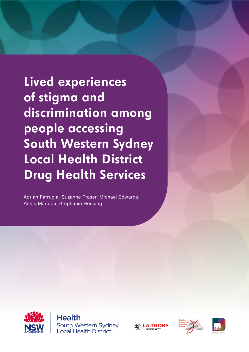**Lived experiences of stigma and discrimination among people accessing South Western Sydney Local Health District Drug Health Services** 

Adrian Farrugia, Suzanne Fraser, Michael Edwards, Annie Madden, Stephanie Hocking



**Health** South Western Sydney **Local Health District** 





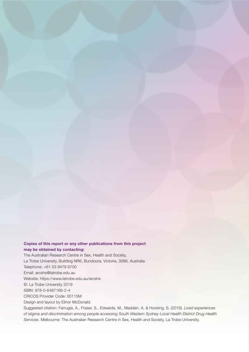## Copies of this report or any other publications from this project may be obtained by contacting:

The Australian Research Centre in Sex, Health and Society, La Trobe University, Building NR6, Bundoora, Victoria, 3086, Australia Telephone: +61 03 9479 8700 Email: arcshs@latrobe.edu.au Website: https://www.latrobe.edu.au/arcshs ©: La Trobe University 2019 ISBN: 978-0-6487166-2-4 CRICOS Provider Code: 00115M Design and layout by Elinor McDonald. Suggested citation: Farrugia, A., Fraser, S., Edwards, M., Madden, A. & Hocking, S. (2019). *Lived experiences* 

*of stigma and discrimination among people accessing South Western Sydney Local Health District Drug Health Services*. Melbourne: The Australian Research Centre in Sex, Health and Society, La Trobe University.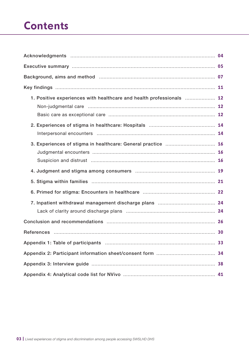## **Contents**

| 1. Positive experiences with healthcare and health professionals  12 |    |
|----------------------------------------------------------------------|----|
|                                                                      |    |
|                                                                      |    |
| 3. Experiences of stigma in healthcare: General practice  16         |    |
|                                                                      |    |
|                                                                      |    |
|                                                                      |    |
|                                                                      |    |
|                                                                      |    |
|                                                                      |    |
|                                                                      |    |
|                                                                      | 34 |
|                                                                      |    |
|                                                                      |    |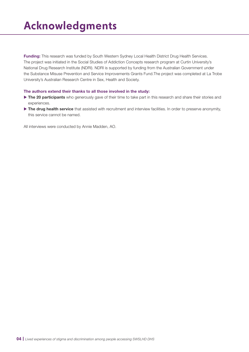# <span id="page-3-0"></span>**Acknowledgments**

Funding: This research was funded by South Western Sydney Local Health District Drug Health Services. The project was initiated in the Social Studies of Addiction Concepts research program at Curtin University's National Drug Research Institute (NDRI). NDRI is supported by funding from the Australian Government under the Substance Misuse Prevention and Service Improvements Grants Fund.The project was completed at La Trobe University's Australian Research Centre in Sex, Health and Society.

### The authors extend their thanks to all those involved in the study:

- $\triangleright$  The 20 participants who generously gave of their time to take part in this research and share their stories and experiences.
- $\triangleright$  The drug health service that assisted with recruitment and interview facilities. In order to preserve anonymity, this service cannot be named.

All interviews were conducted by Annie Madden, AO.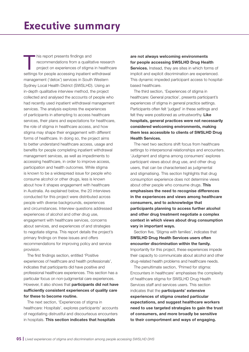<span id="page-4-0"></span>This report presents findings and<br>recommendations from a qualita<br>project on experiences of stigma<br>positions for poople accessing institution recommendations from a qualitative research project on experiences of stigma in healthcare settings for people accessing inpatient withdrawal management ('detox') services in South Western Sydney Local Health District (SWSLHD). Using an in-depth qualitative interview method, the project collected and analysed the accounts of people who had recently used inpatient withdrawal management services. The analysis explores the experiences of participants in attempting to access healthcare services, their plans and expectations for healthcare, the role of stigma in healthcare access, and how stigma may shape their engagement with different forms of healthcare. In doing so, the project aims to better understand healthcare access, usage and benefits for people completing inpatient withdrawal management services, as well as impediments to accessing healthcare, in order to improve access, participation and health outcomes. While stigma is known to be a widespread issue for people who consume alcohol or other drugs, less is known about how it shapes engagement with healthcare in Australia. As explained below, the 20 interviews conducted for this project were distributed across people with diverse backgrounds, experiences and circumstances. Interview questions addressed experiences of alcohol and other drug use, engagement with healthcare services, concerns about services, and experiences of and strategies to negotiate stigma. This report details the project's primary findings on these issues and offers recommendations for improving policy and service provision.

The first findings section, entitled 'Positive experiences of healthcare and health professionals', indicates that participants did have positive and professional healthcare experiences. This section has a particular focus on non-judgmental care experiences. However, it also shows that **participants did not have** sufficiently consistent experiences of quality care for these to become routine.

The next section, 'Experiences of stigma in healthcare: Hospitals', explores participants' accounts of negotiating distrustful and discourteous encounters in hospitals. This section indicates that hospitals

are not always welcoming environments for people accessing SWSLHD Drug Health Services. Instead, they are sites in which forms of

implicit and explicit discrimination are experienced. This dynamic impeded participant access to hospitalbased healthcare.

The third section, 'Experiences of stigma in healthcare: General practice', presents participant's experiences of stigma in general practice settings. Participants often felt 'judged' in these settings and felt they were positioned as untrustworthy. Like hospitals, general practices were not necessarily considered welcoming environments, making them less accessible to clients of SWSLHD Drug Health Services.

The next two sections shift focus from healthcare settings to interpersonal relationships and encounters. 'Judgment and stigma among consumers' explores participant views about drug use, and other drug users, that can be characterised as judgmental and stigmatising. This section highlights that drug consumption experience does not determine views about other people who consume drugs. This emphasises the need to recognise differences in the experiences and views among healthcare consumers, and to acknowledge that participants planning to access further alcohol and other drug treatment negotiate a complex context in which views about drug consumption vary in important ways.

Section five, 'Stigma with families', indicates that SWSLHD Drug Health Services users often encounter discrimination within the family. Importantly for this project, these experiences impede their capacity to communicate about alcohol and other drug-related health problems and healthcare needs.

The penultimate section, 'Primed for stigma: Encounters in healthcare' emphasises the complexity of healthcare stigma for SWSLHD Drug Health Services staff and services users. This section indicates that the participants' extensive experiences of stigma created particular expectations, and suggest healthcare workers need to use targeted strategies to gain the trust of consumers, and more broadly be sensitive to their comportment and ways of engaging.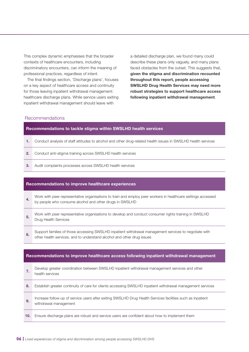This complex dynamic emphasises that the broader contexts of healthcare encounters, including discriminatory encounters, can inform the meaning of professional practices, regardless of intent.

The final findings section, 'Discharge plans', focuses on a key aspect of healthcare access and continuity for those leaving inpatient withdrawal management: healthcare discharge plans. While service users exiting inpatient withdrawal management should leave with

a detailed discharge plan, we found many could describe these plans only vaguely, and many plans faced obstacles from the outset. This suggests that, given the stigma and discrimination recounted throughout this report, people accessing SWSLHD Drug Health Services may need more robust strategies to support healthcare access following inpatient withdrawal management.

## Recommendations

### Recommendations to tackle stigma within SWSLHD health services

- 1. Conduct analysis of staff attitudes to alcohol and other drug-related health issues in SWSLHD health services
- 2. Conduct anti-stigma training across SWSLHD health services
- 3. Audit complaints processes across SWSLHD health services

#### Recommendations to improve healthcare experiences

- Work with peer representative organisations to train and employ peer workers in healthcare settings accessed by people who consume alcohol and other drugs in SWSLHD
- 5. Work with peer representative organisations to develop and conduct consumer rights training in SWSLHD Drug Health Services
- 6. Support families of those accessing SWSLHD inpatient withdrawal management services to negotiate with other health services, and to understand alcohol and other drug issues

|     | Recommendations to improve healthcare access following inpatient withdrawal management                                              |
|-----|-------------------------------------------------------------------------------------------------------------------------------------|
| 7.  | Develop greater coordination between SWSLHD inpatient withdrawal management services and other<br>health services                   |
| 8.  | Establish greater continuity of care for clients accessing SWSLHD inpatient withdrawal management services                          |
| 9.  | Increase follow-up of service users after exiting SWSLHD Drug Health Services facilities such as inpatient<br>withdrawal management |
| 10. | Ensure discharge plans are robust and service users are confident about how to implement them                                       |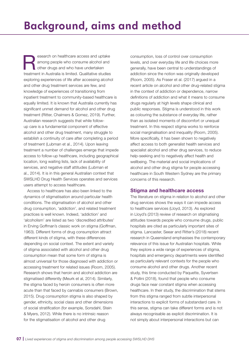# <span id="page-6-0"></span>**Background, aims and method**

Research on healthcare access and uptake<br>among people who consume alcohol and<br>other drugs and who have undertaken<br>tractment in Australia is limited. Qualitating atudies among people who consume alcohol and other drugs and who have undertaken treatment in Australia is limited. Qualitative studies exploring experiences of life after accessing alcohol and other drug treatment services are few, and knowledge of experiences of transitioning from inpatient treatment to community-based healthcare is equally limited. It is known that Australia currently has significant unmet demand for alcohol and other drug treatment (Ritter, Chalmers & Gomez, 2019). Further, Australian research suggests that while followup care is a fundamental component of effective alcohol and other drug treatment, many struggle to establish a continuity of care after completing a period of treatment (Lubman et al., 2014). Upon leaving treatment a number of challenges emerge that impede access to follow-up healthcare, including geographical location, long waiting lists, lack of availability of services, and negative staff attitudes (Lubman et al., 2014). It is in this general Australian context that SWSLHD Drug Health Services operates and services users attempt to access healthcare.

Access to healthcare has also been linked to the dynamics of stigmatisation around particular health conditions. The stigmatisation of alcohol and other drug consumption, 'addiction', and related treatment practices is well known. Indeed, 'addiction' and 'alcoholism' are listed as two 'discredited attributes' in Erving Goffman's classic work on stigma (Goffman, 1963). Different forms of drug consumption attract different kinds of stigma, with these differences depending on social context. The extent and variety of stigma associated with alcohol and other drug consumption mean that some form of stigma is almost universal for those diagnosed with addiction or accessing treatment for related issues (Room, 2005). Research shows that heroin and alcohol addiction are stigmatised differently (Meurk et al, 2014). Similarly, the stigma faced by heroin consumers is often more acute than that faced by cannabis consumers (Brown, 2015). Drug consumption stigma is also shaped by gender, ethnicity, social class and other dimensions of social stratification (for example, Sorsdahl, Stein & Myers, 2012). While there is no intrinsic reason for the stigmatisation of alcohol and other drug

consumption, loss of control over consumption levels, and over everyday life and life choices more generally, have been central to understandings of addiction since the notion was originally developed (Room, 2005). As Fraser et al. (2017) argued in a recent article on alcohol and other drug-related stigma in the context of addiction or dependence, narrow definitions of addiction and what it means to consume drugs regularly at high levels shape clinical and public responses. Stigma is understood in this work as colouring the substance of everyday life, rather than as isolated moments of discomfort or unequal treatment. In this respect stigma works to reinforce social marginalisation and inequality (Room, 2005). More specifically, it has been shown to negatively affect access to both generalist health services and specialist alcohol and other drug services, to reduce help-seeking and to negatively affect health and wellbeing. The material and social implications of alcohol and other drug stigma for people accessing healthcare in South Western Sydney are the primary concerns of this research.

## Stigma and healthcare access

The literature on stigma in relation to alcohol and other drug services shows the ways it can impede access to healthcare services (Lloyd, 2013). As explored in Lloyd's (2013) review of research on stigmatising attitudes towards people who consume drugs, public hospitals are cited as particularly important sites of stigma. Lancaster, Seear and Ritter's (2018) recent research in Queensland emphasises the contemporary relevance of this issue for Australian hospitals. While they explore a wide range of experiences of stigma, hospitals and emergency departments were identified as particularly relevant contexts for the people who consume alcohol and other drugs. Another recent study, this time conducted by Paquette, Syvertsen & Pollini (2018), found that people who consume drugs face near constant stigma when accessing healthcare. In their study, the discrimination that stems from this stigma ranged from subtle interpersonal interactions to explicit forms of substandard care. In this sense, stigma can take different forms and is not always recognisable as explicit discrimination. It is not simply about interpersonal interactions but can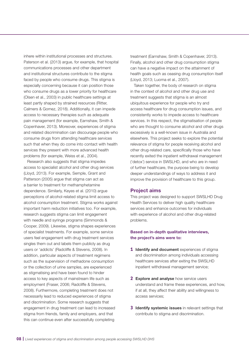inhere within institutional processes and structures. Paterson et al. (2013) argue, for example, that hospital communications processes and other department and institutional structures contribute to the stigma faced by people who consume drugs. This stigma is especially concerning because it can position those who consume drugs as a lower priority for healthcare (Olsen et al., 2003) in public healthcare settings at least partly shaped by strained resources (Ritter, Calmers & Gomez, 2018). Additionally, it can impede access to necessary therapies such as adequate pain management (for example, Earnshaw, Smith & Copenhaver, 2013). Moreover, experiences of stigma and related discrimination can discourage people who consume drugs from attending healthcare services such that when they do come into contact with health services they present with more advanced health problems (for example, Weiss et al., 2004).

Research also suggests that stigma impedes access to specialist alcohol and other drug services (Lloyd, 2013). For example, Semple, Grant and Patterson (2005) argue that stigma can act as a barrier to treatment for methamphetamine dependence. Similarly, Keyes et al. (2010) argue perceptions of alcohol-related stigma limit access to alcohol consumption treatment. Stigma works against important harm reduction initiatives too. For example, research suggests stigma can limit engagement with needle and syringe programs (Simmonds & Cooper, 2009). Likewise, stigma shapes experiences of specialist treatments. For example, some service users feel engagement with drug treatment services singles them out and labels them publicly as drug users or 'addicts' (Radcliffe & Stevens, 2008). In addition, particular aspects of treatment regimens such as the supervision of methadone consumption or the collection of urine samples, are experienced as stigmatising and have been found to hinder access to key aspects of mainstream life such as employment (Fraser, 2006; Radcliffe & Stevens, 2008). Furthermore, completing treatment does not necessarily lead to reduced experiences of stigma and discrimination. Some research suggests that engagement in drug treatment can lead to increased stigma from friends, family and employers, and that this can continue even after successfully completing

treatment (Earnshaw, Smith & Copenhaver, 2013). Finally, alcohol and other drug consumption stigma can have a negative impact on the attainment of health goals such as ceasing drug consumption itself (Lloyd, 2013; Luoma et al., 2007).

Taken together, the body of research on stigma in the context of alcohol and other drug use and treatment suggests that stigma is an almost ubiquitous experience for people who try and access healthcare for drug consumption issues, and consistently works to impede access to healthcare services. In this respect, the stigmatisation of people who are thought to consume alcohol and other drugs excessively is a well-known issue in Australia and elsewhere. This project seeks to explore the potential relevance of stigma for people receiving alcohol and other drug-related care, specifically those who have recently exited the inpatient withdrawal management ('detox') service in SWSLHD, and who are in need of further healthcare, the purpose being to develop deeper understandings of ways to address it and improve the provision of healthcare to this group.

## Project aims

This project was designed to support SWSLHD Drug Health Services to deliver high quality healthcare services and enhance outcomes for individuals with experience of alcohol and other drug-related problems.

## Based on in-depth qualitative interviews, the project's aims were to:

- **1 Identify and document** experiences of stigma and discrimination among individuals accessing healthcare services after exiting the SWSLHD inpatient withdrawal management service;
- **2** Explore and analyse how service users understand and frame these experiences, and how, if at all, they affect their ability and willingness to access services;
- **3** Identify systemic issues in relevant settings that contribute to stigma and discrimination.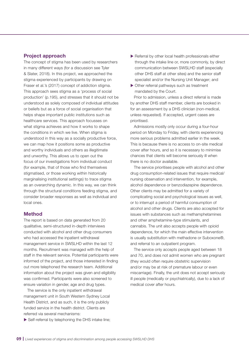## Project approach

The concept of stigma has been used by researchers in many different ways (for a discussion see Tyler & Slater, 2018). In this project, we approached the stigma experienced by participants by drawing on Fraser et al.'s (2017) concept of addiction stigma. This approach sees stigma as a 'process of social production' (p.195), and stresses that it should not be understood as solely composed of individual attitudes or beliefs but as a force of social organisation that helps shape important public institutions such as healthcare services. This approach focusses on what stigma achieves and how it works to shape the conditions in which we live. When stigma is understood in this way as a socially productive force, we can map how it positions some as productive and worthy individuals and others as illegitimate and unworthy. This allows us to open out the focus of our investigations from individual conduct (for example, that of those who find themselves stigmatised, or those working within historically marginalising institutional settings) to trace stigma as an overarching dynamic. In this way, we can think through the structural conditions feeding stigma, and consider broader responses as well as individual and local ones.

## **Method**

The report is based on data generated from 20 qualitative, semi-structured in-depth interviews conducted with alcohol and other drug consumers who had accessed the inpatient withdrawal management service in SWSLHD within the last 12 months. Recruitment was managed with the help of staff in the relevant service. Potential participants were informed of the project, and those interested in finding out more telephoned the research team. Additional information about the project was given and eligibility was confirmed. Participants were also screened to ensure variation in gender, age and drug types.

The service is the only inpatient withdrawal management unit in South Western Sydney Local Health District, and as such, it is the only publicly funded service in the health district. Clients are referred via several mechanisms:

 $\triangleright$  Self-referral by telephoning the DHS intake line;

- $\blacktriangleright$  Referral by other local health professionals either through the intake line or, more commonly, by direct communication between SWSLHD staff (especially other DHS staff at other sites) and the senior staff specialist and/or the Nursing Unit Manager; and
- $\triangleright$  Other referral pathways such as treatment mandated by the Court.

Prior to admission, unless a direct referral is made by another DHS staff member, clients are booked in for an assessment by a DHS clinician (non-medical, unless requested). If accepted, urgent cases are prioritised.

Admissions mostly only occur during a four-hour period on Monday to Friday, with clients experiencing more serious problems admitted earlier in the week. This is because there is no access to on-site medical cover after hours, and so it is necessary to minimise chances that clients will become seriously ill when there is no doctor available.

The service prioritises people with alcohol and other drug consumption-related issues that require medical/ nursing observation and intervention, for example, alcohol dependence or benzodiazepine dependence. Other clients may be admitted for a variety of complicating social and psychological issues as well, or to interrupt a period of harmful consumption of alcohol and other drugs. Clients are also accepted for issues with substances such as methamphetamines and other amphetamine-type stimulants, and cannabis. The unit also accepts people with opioid dependence, for which the main effective intervention is usually substitution with methadone or Suboxone®, and referral to an outpatient program.

The service only accepts people aged between 18 and 70, and does not admit women who are pregnant (they would often require obstetric supervision and/or may be at risk of premature labour or even miscarriage). Finally, the unit does not accept seriously ill people (medically or psychiatrically), due to a lack of medical cover after hours.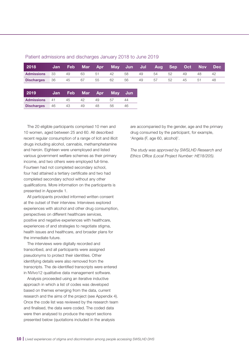| 2018              | Jan | <b>Feb</b> | <b>Mar</b> | Apr        | <b>May</b> | Jun | Jul | <b>Aug</b> | <b>Sep</b> | Oct | <b>Nov</b> | <b>Dec</b> |
|-------------------|-----|------------|------------|------------|------------|-----|-----|------------|------------|-----|------------|------------|
| <b>Admissions</b> | 33  | 49         | 63         | 51         | 42         | 58  | 49  | 54         | 52         | 49  | 48         | 42         |
| <b>Discharges</b> | 36  | 45         | 67         | 55         | 62         | 56  | 49  | 57         | 52         | 45  | 51         | 48         |
|                   |     |            |            |            |            |     |     |            |            |     |            |            |
| 2019              | Jan | <b>Feb</b> | <b>Mar</b> | <b>Apr</b> | <b>May</b> | Jun |     |            |            |     |            |            |
| <b>Admissions</b> | 41  | 45         | 42         | 49         | 57         | 44  |     |            |            |     |            |            |
| <b>Discharges</b> | 46  | 43         | 49         | 48         | 56         | 46  |     |            |            |     |            |            |

#### Patient admissions and discharges January 2018 to June 2019

The 20 eligible participants comprised 10 men and 10 women, aged between 25 and 60. All described recent regular consumption of a range of licit and illicit drugs including alcohol, cannabis, methamphetamine and heroin. Eighteen were unemployed and listed various government welfare schemes as their primary income, and two others were employed full-time. Fourteen had not completed secondary school, four had attained a tertiary certificate and two had completed secondary school without any other qualifications. More information on the participants is presented in Appendix 1.

All participants provided informed written consent at the outset of their interview. Interviews explored experiences with alcohol and other drug consumption, perspectives on different healthcare services, positive and negative experiences with healthcare, experiences of and strategies to negotiate stigma, health issues and healthcare, and broader plans for the immediate future.

The interviews were digitally recorded and transcribed, and all participants were assigned pseudonyms to protect their identities. Other identifying details were also removed from the transcripts. The de-identified transcripts were entered in NVivo12 qualitative data management software.

Analysis proceeded using an iterative inductive approach in which a list of codes was developed based on themes emerging from the data, current research and the aims of the project (see Appendix 4). Once the code list was reviewed by the research team and finalised, the data were coded. The coded data were then analysed to produce the report sections presented below (quotations included in the analysis

are accompanied by the gender, age and the primary drug consumed by the participant, for example, 'Angela (F, age 60, alcohol)'.

*The study was approved by SWSLHD Research and Ethics Office (Local Project Number: HE18/205).*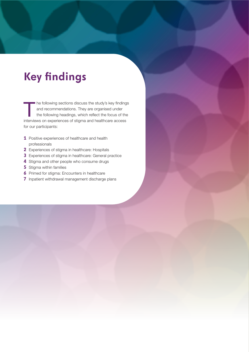# <span id="page-10-0"></span>**Key findings**

The following sections discuss the study's key findings<br>and recommendations. They are organised under<br>the following headings, which reflect the focus of the<br>interviews as overviewse of stimes and best best assessed and recommendations. They are organised under the following headings, which reflect the focus of the interviews on experiences of stigma and healthcare access for our participants:

- **1** Positive experiences of healthcare and health professionals
- **2** Experiences of stigma in healthcare: Hospitals
- **3** Experiences of stigma in healthcare: General practice
- **4** Stigma and other people who consume drugs
- **5** Stigma within families
- **6** Primed for stigma: Encounters in healthcare
- **7** Inpatient withdrawal management discharge plans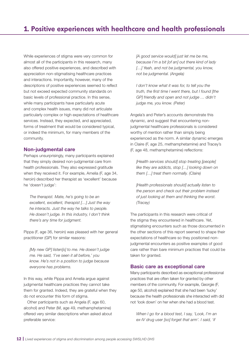<span id="page-11-0"></span>While experiences of stigma were very common for almost all of the participants in this research, many also offered positive experiences, and described with appreciation non-stigmatising healthcare practices and interactions. Importantly, however, many of the descriptions of positive experiences seemed to reflect but not exceed expected community standards on basic levels of professional practice. In this sense, while many participants have particularly acute and complex health issues, many did not articulate particularly complex or high expectations of healthcare services. Instead, they expected, and appreciated, forms of treatment that would be considered typical, or indeed the minimum, for many members of the community.

## Non-judgmental care

Perhaps unsurprisingly, many participants explained that they simply desired non-judgmental care from health professionals. They also expressed gratitude when they received it. For example, Amelia (F, age 34, heroin) described her therapist as 'excellent' because he 'doesn't judge':

*The therapist. Mate, he's going to be an excellent, excellent, therapist […] Just the way he interacts. Just the way he talks to people. He doesn't judge. In this industry, I don't think there's any time for judgment.*

Pippa (F, age 36, heroin) was pleased with her general practitioner (GP) for similar reasons:

*[My new GP] listen[s] to me. He doesn't judge me. He said, 'I've seen it all before,' you know. He's not in a position to judge because everyone has problems.*

In this way, while Pippa and Amelia argue against judgmental healthcare practices they cannot take them for granted. Indeed, they are grateful when they do not encounter this form of stigma.

Other participants such as Angela (F, age 60, alcohol) and Peter (M, age 49, methamphetamine) offered very similar descriptions when asked about preferable service:

*[A good service would] just let me be me, because I'm a bit [of an] out there kind of lady […] Yeah, and not be judgmental, you know, not be judgmental. (Angela)*

*I don't know what it was for, to tell you the truth, the first time I went there, but I found [the GP] friendly and open and not judge … didn't judge me, you know. (Peter)*

Angela's and Peter's accounts demonstrate this dynamic, and suggest that encountering nonjudgmental healthcare professionals is considered worthy of mention rather than simply being experienced as the norm. A similar dynamic emerges in Claire (F, age 25, methamphetamine) and Tracey's (F, age 48, methamphetamine) reflections:

*[Health services should] stop treating [people] like they are addicts, stop […] looking down on them […] treat them normally. (Claire)*

*[Health professionals should] actually listen to the person and check out their problem instead of just looking at them and thinking the worst. (Tracey)* 

The participants in this research were critical of the stigma they encountered in healthcare. Yet, stigmatising encounters such as those documented in the other sections of this report seemed to shape their expectations of healthcare so they positioned nonjudgmental encounters as positive examples of good care rather than bare minimum practices that could be taken for granted.

## Basic care as exceptional care

Many participants described as exceptional professional practices that are often taken for granted by other members of the community. For example, Georgie (F, age 50, alcohol) explained that she had been 'lucky' because the health professionals she interacted with did not 'look down' on her when she had a blood test.

*When I go for a blood test, I say, 'Look, I'm an ex-IV drug user [so] forget that arm'. I said, 'if*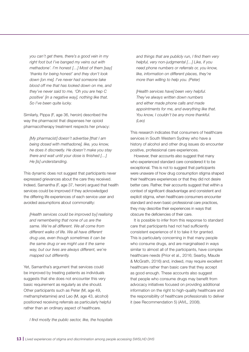*you can't get there, there's a good vein in my right foot but I've banged my veins out with methadone'. I'm honest […] Most of them [say] 'thanks for being honest' and they don't look down [on me]. I've never had someone take blood off me that has looked down on me, and they've never said to me, 'Oh you are hep C positive' [in a negative way], nothing like that. So I've been quite lucky.*

Similarly, Pippa (F, age 36, heroin) described the way the pharmacist that dispenses her opioid pharmacotherapy treatment respects her privacy:

*[My pharmacist] doesn't advertise [that I am being dosed with methadone], like, you know, he does it discreetly. He doesn't make you stay there and wait until your dose is finished […] He [is] understanding.*

This dynamic does not suggest that participants never expressed grievances about the care they received. Indeed, Samantha (F, age 37, heroin) argued that health services could be improved if they acknowledged the differing life experiences of each service user and avoided assumptions about commonality:

*[Health services could be improved by] realising and remembering that none of us are the same. We're all different. We all come from different walks of life. We all have different drug use, even though sometimes it can be the same drug or we might use it the same way, but our lives are always different, we're mapped out differently.*

Yet, Samantha's argument that services could be improved by treating patients as individuals suggests that she does not encounter this very basic requirement as regularly as she should. Other participants such as Peter (M, age 49, methamphetamine) and Leo (M, age 43, alcohol) positioned receiving referrals as particularly helpful rather than an ordinary aspect of healthcare.

*and things that are publicly run, I find them very helpful, very non-judgmental […] Like, if you need phone numbers or referrals or, you know, like, information on different places, they're more than willing to help you. (Peter)*

*[Health services have] been very helpful. They've always written down numbers and either made phone calls and made appointments for me, and everything like that. You know, I couldn't be any more thankful. (Leo)*

This research indicates that consumers of healthcare services in South Western Sydney who have a history of alcohol and other drug issues do encounter positive, professional care experiences.

However, their accounts also suggest that many who experienced standard care considered it to be exceptional. This is not to suggest that participants were unaware of how drug consumption stigma shaped their healthcare experiences or that they did not desire better care. Rather, their accounts suggest that within a context of significant disadvantage and consistent and explicit stigma, when healthcare consumers encounter standard and even basic professional care practices, they may describe their experiences in ways that obscure the deficiencies of their care.

It is possible to infer from this response to standard care that participants had not had sufficiently consistent experience of it to take it for granted. This is particularly concerning in that many people who consume drugs, and are marginalised in ways similar to almost all of the participants, have complex healthcare needs (Prior et al., 2016; Searby, Maude & McGrath, 2016) and, indeed, may require excellent healthcare rather than basic care that they accept as good enough. These accounts also suggest that people who consume drugs may benefit from advocacy initiatives focused on providing additional information on the right to high-quality healthcare and the responsibility of healthcare professionals to deliver it (see Recommendation 5) (AIVL, 2008).

*I find mostly the public sector, like, the hospitals*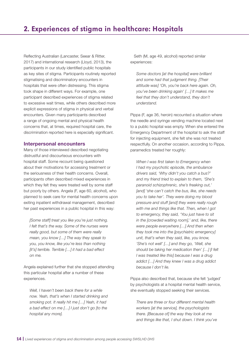<span id="page-13-0"></span>Reflecting Australian (Lancaster, Seear & Ritter, 2017) and international research (Lloyd, 2013), the participants in our study identified public hospitals as key sites of stigma. Participants routinely reported stigmatising and discriminatory encounters in hospitals that were often distressing. This stigma took shape in different ways. For example, one participant described experiences of stigma related to excessive wait times, while others described more explicit expressions of stigma in physical and verbal encounters. Given many participants described a range of ongoing mental and physical health concerns that, at times, required hospital care, the discrimination reported here is especially significant.

## Interpersonal encounters

Many of those interviewed described negotiating distrustful and discourteous encounters with hospital staff. Some recount being questioned about their motivations for accessing treatment or the seriousness of their health concerns. Overall, participants often described mixed experiences in which they felt they were treated well by some staff but poorly by others. Angela (F, age 60, alcohol), who planned to seek care for mental health concerns upon exiting inpatient withdrawal management, described her past experiences in a public hospital in this way:

*[Some staff] treat you like you're just nothing. I felt that's the way. Some of the nurses were really good, but some of them were really mean, you know […] The way they speak to you, you know, like you're less than nothing [it's] terrible. Terrible […] it had a bad effect on me.*

Angela explained further that she stopped attending this particular hospital after a number of these experiences.

*Well, I haven't been back there for a while now. Yeah, that's when I started drinking and smoking pot. It really hit me […] Yeah, it had a bad effect on me […] I just don't go [to the hospital any more].*

Seth (M, age 49, alcohol) reported similar experiences:

*Some doctors [at the hospital] were brilliant and some had that judgment thing. [Their attitude was] 'Oh, you're back here again. Oh, you've been drinking again' […] It makes me feel that they don't understand, they don't understand.*

Pippa (F, age 36, heroin) recounted a situation where the needle and syringe vending machine located next to a public hospital was empty. When she entered the Emergency Department of the hospital to ask the staff for injecting equipment, she felt she was not treated respectfully. On another occasion, according to Pippa, paramedics treated her roughly:

*When I was first taken to Emergency when I had my psychotic episode, the ambulance drivers said, 'Why didn't you catch a bus?' and my friend tried to explain to them, 'She's paranoid schizophrenic, she's freaking out,' [and] 'she can't catch the bus, like, she needs you to take her'. They were doing my blood pressure and stuff [and] they were really rough with me and things like that. Then, when I got to emergency, they said, 'You just have to sit in the [crowded waiting room],' and, like, there were people everywhere […] And then when they took me into the [psychiatric emergency] unit, that's when they said, like, you know, 'She's not well' […] and they go, 'Well, she should be taking her medication then' […] [I felt I was treated like this] because I was a drug addict […] And they knew I was a drug addict because I don't lie.*

Pippa also described that, because she felt 'judged' by psychologists at a hospital mental health service, she eventually stopped seeking their services.

*There are three or four different mental health workers [at the service], the psychologists there. [Because of] the way they look at me and things like that, I shut down. I think you've*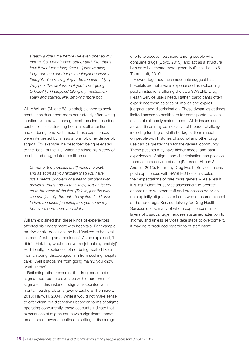*already judged me before I've even opened my mouth. So, I won't even bother and, like, that's how it went for a long time […] Not wanting to go and see another psychologist because I thought, 'You're all going to be the same.' […] Why pick this profession if you're not going to help? […] I stopped taking my medication again and started, like, smoking more pot.*

While William (M, age 53, alcohol) planned to seek mental health support more consistently after exiting inpatient withdrawal management, he also described past difficulties attracting hospital staff attention, and enduring long wait times. These experiences were interpreted by him as a form of, or evidence of, stigma. For example, he described being relegated to the 'back of the line' when he raised his history of mental and drug-related health issues:

*Oh mate, the [hospital staff] make me wait, and as soon as you [explain that] you have got a mental problem or a health problem with previous drugs and all that, they, sort of, let you go to the back of the line. [This is] just the way you can just slip through the system […] I used to love the place [hospital] too, you know my kids were born there and all that.*

William explained that these kinds of experiences affected his engagement with hospitals. For example, on 'five or six' occasions he had 'walked to hospital instead of calling an ambulance'. As he explained, 'I didn't think they would believe me [about my anxiety]'. Additionally, experiences of not being treated like a 'human being' discouraged him from seeking hospital care: 'Well it stops me from going mainly, you know what I mean'.

Reflecting other research, the drug consumption stigma reported here overlaps with other forms of stigma – in this instance, stigma associated with mental health problems (Evans-Lacko & Thornicroft, 2010; Hartwell, 2004). While it would not make sense to offer clean-cut distinctions between forms of stigma operating concurrently, these accounts indicate that experiences of stigma can have a significant impact on attitudes towards healthcare settings, discourage

efforts to access healthcare among people who consume drugs (Lloyd, 2013), and act as a structural barrier to healthcare more generally (Evans-Lacko & Thornicroft, 2010).

Viewed together, these accounts suggest that hospitals are not always experienced as welcoming public institutions offering the care SWSLHD Drug Health Service users need. Rather, participants often experience them as sites of implicit and explicit judgment and discrimination. These dynamics at times limited access to healthcare for participants, even in cases of extremely serious need. While issues such as wait times may be indicative of broader challenges including funding or staff shortages, their impact on people with histories of alcohol and other drug use can be greater than for the general community. These patients may have higher needs, and past experiences of stigma and discrimination can position them as undeserving of care (Paterson, Hirsch & Andres, 2013). For many Drug Health Services users, past experiences with SWSLHD hospitals colour their expectations of care more generally. As a result, it is insufficient for service assessment to operate according to whether staff and processes do or do not explicitly stigmatise patients who consume alcohol and other drugs. Service delivery for Drug Health Services users, many of whom experience multiple layers of disadvantage, requires sustained attention to stigma, and unless services take steps to overcome it, it may be reproduced regardless of staff intent.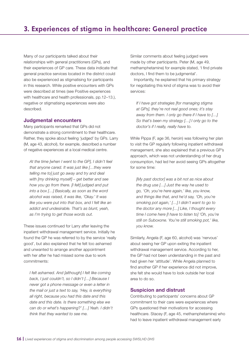<span id="page-15-0"></span>Many of our participants talked about their relationships with general practitioners (GPs), and their experiences of GP care. These data indicate that general practice services located in the district could also be experienced as stigmatising for participants in this research. While positive encounters with GPs were described at times (see Positive experiences with healthcare and health professionals, pp.12–13.), negative or stigmatising experiences were also described.

## Judgmental encounters

Many participants remarked that GPs did not demonstrate a strong commitment to their healthcare. Rather, they spoke about feeling 'judged' by GPs. Larry (M, age 43, alcohol), for example, described a number of negative experiences at a local medical centre.

*At the time [when I went to the GP], I didn't feel that anyone cared. It was just like […they were telling me to] just go away and try and deal with [my drinking myself] – get better and see how you go from there. [I felt] judged and put into a box […] Basically, as soon as the word alcohol was raised, it was like, 'Okay.' It was like you were put into that box, and I felt like an addict and undesirable. That's as blunt, yeah, as I'm trying to get those words out.* 

These issues continued for Larry after leaving the inpatient withdrawal management service. Initially he found the GP he was referred to by the service 'really good', but also explained that he felt too ashamed and unwanted to arrange another appointment with her after he had missed some due to work commitments:

*I felt ashamed. And [although] I felt like coming back, I just couldn't, so I didn't […] Because I never got a phone message or even a letter in the mail or just a text to say, 'Hey, is everything all right, because you had this date and this date and this date. Is there something else we can do or what's happening?' […] Yeah. I didn't think that they wanted to see me.*

Similar comments about feeling judged were made by other participants. Peter (M, age 49, methamphetamine) for example stated, 'I find private doctors, I find them to be judgmental'.

Importantly, he explained that his primary strategy for negotiating this kind of stigma was to avoid their services:

*If I have got strategies [for managing stigma at GPs], they're not real good ones; it's stay away from them. I only go there if I have to […] So that's been my strategy […] I only go to the doctor's if I really, really have to.*

While Pippa (F, age 36, heroin) was following her plan to visit the GP regularly following inpatient withdrawal management, she also explained that a previous GP's approach, which was not understanding of her drug consumption, had led her avoid seeing GPs altogether for some time:

*[My past doctor] was a bit not as nice about the drug use […] Just the way he used to go, 'Oh, you're here again,' like, you know, and things like that, and he'd say, 'Oh, you're smoking pot again,' […] I didn't want to go to the doctor any more […] Like, I thought every time I come here [I have to listen to] 'Oh, you're still on Suboxone. You're still smoking pot,' like, you know.*

Similarly, Angela (F, age 60, alcohol) was 'nervous' about seeing her GP upon exiting the inpatient withdrawal management service. According to her, the GP had not been understanding in the past and had given her 'attitude'. While Angela planned to find another GP if her experience did not improve, she felt she would have to look outside her local area to do so.

## Suspicion and distrust

Contributing to participants' concerns about GP commitment to their care were experiences where GPs questioned their motivations for accessing healthcare. Stacey (F, age 45, methamphetamine) who had to leave inpatient withdrawal management early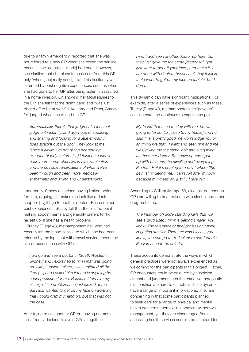due to a family emergency, reported that she was not referred to a new GP when she exited the service because she 'actually [already] had one'. However, she clarified that she plans to seek care from this GP only 'when [she] really need[s] to'. This hesitancy was informed by past negative experiences, such as when she had gone to her GP after being violently assaulted in a home invasion. On showing her facial injuries to the GP, she felt that 'he didn't care' and 'was just pissed off to be at work'. Like Larry and Peter, Stacey felt judged when she visited the GP:

*Automatically, there's that judgment. I feel that judgment instantly, and any hope of speaking and sharing and looking for a little empathy goes straight out the door. They look at me, 'she's a junkie. I'm not giving her nothing except a bloody lecture' […] I think he could've been more comprehensive in his examination and the possible ramifications of what we've been through and been more medically empathetic and willing and understanding.*

Importantly, Stacey described having limited options for care, arguing '[it] makes me look like a doctor shopper […] if I go to another doctor'. Based on her past experiences, Stacey felt that there is 'no point' making appointments and generally prefers to 'fix herself up' if she has a health problem.

Tracey (F, age 48, methamphetamine), who had recently left the rehab service to which she had been referred by the inpatient withdrawal service, recounted similar experiences with GPs:

*I did go and see a doctor in [South Western Sydney] and I explained to him what was going on. Like, I couldn't sleep, I was agitated all the time […] and I asked him if there is anything he could prescribe for me. Because I told him my history of ice problems, he just looked at me like I just wanted to get off my face on anything that I could grab my hand on, but that was not the case.*

After trying to see another GP but having no more luck, Tracey decided to avoid GPs altogether:

*I went and seen another doctor up here, but they just gave me the same [response]: 'you just want to get off your face', and that's it. I am done with doctors because all they think is that I want to get off my face on tablets, but I don't.*

This dynamic can have significant implications. For example, after a series of experiences such as these, Tracey (F, age 48, methamphetamine) 'gave up' seeking care and continues to experience pain.

*My friend that used to stay with me, he was going to [a] doctor [close to my house] and he said 'He is pretty good, he won't judge you or anything like that'. I went and seen him and [he was] giving me the same look and everything as the other doctor. So I gave up and I put up with pain and the swelling and everything like that. But it's coming to a point where [the pain is] hindering me. I can't run after my boy because my knees will just […] give out.*

According to William (M, age 53, alcohol), not enough GPs are willing to treat patients with alcohol and other drug problems.

*The [number of] understanding GPs that will see a drug user, I think is getting smaller, you know. The tolerance of [the] profession I think is getting smaller. There are less places, you know, you can go to, to feel more comfortable like you used to be able to.*

These accounts demonstrate the ways in which general practices were not always experienced as welcoming for the participants in this project. Rather, GP encounters could be coloured by suspicion, distrust and judgment such that effective therapeutic relationships are hard to establish. These dynamics have a range of important implications. They are concerning in that some participants planned to seek care for a range of physical and mental health concerns upon exiting inpatient withdrawal management, yet they are discouraged from accessing health services considered standard for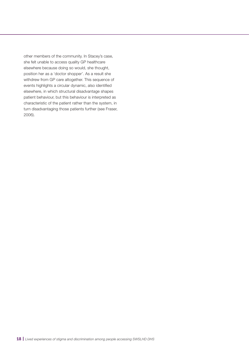other members of the community. In Stacey's case, she felt unable to access quality GP healthcare elsewhere because doing so would, she thought, position her as a 'doctor shopper'. As a result she withdrew from GP care altogether. This sequence of events highlights a circular dynamic, also identified elsewhere, in which structural disadvantage shapes patient behaviour, but this behaviour is interpreted as characteristic of the patient rather than the system, in turn disadvantaging those patients further (see Fraser, 2006).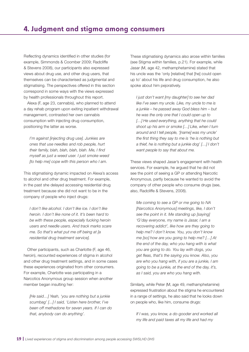<span id="page-18-0"></span>Reflecting dynamics identified in other studies (for example, Simmonds & Coomber 2009; Radcliffe & Stevens 2008), our participants also expressed views about drug use, and other drug users, that themselves can be characterised as judgmental and stigmatising. The perspectives offered in this section correspond in some ways with the views expressed by health professionals throughout this report.

Alexa (F, age 23, cannabis), who planned to attend a day rehab program upon exiting inpatient withdrawal management, contrasted her own cannabis consumption with injecting drug consumption, positioning the latter as worse.

*I'm against [injecting drug use]. Junkies are ones that use needles and rob people, hurt their family, blah, blah, blah, blah. Me, I find myself as just a weed user. I just smoke weed [to help me] cope with this person who I am.*

This stigmatising dynamic impacted on Alexa's access to alcohol and other drug treatment. For example, in the past she delayed accessing residential drug treatment because she did not want to be in the company of people who inject drugs:

*I don't like alcohol. I don't like ice. I don't like heroin. I don't like none of it. It's been hard to be with these people, especially fucking heroin users and needle users. And track marks scare me. So that's what put me off being at [a residential drug treatment service].*

Other participants, such as Charlotte (F, age 46, heroin), recounted experiences of stigma in alcohol and other drug treatment settings, and in some cases these experiences originated from other consumers. For example, Charlotte was participating in a Narcotics Anonymous group session when another member began insulting her:

*[He said…] Yeah, 'you are nothing but a junkie scumbag' [...] I said, 'Listen here brother, I've been off methadone for seven years. If I can do that, anybody can do anything'.*

These stigmatising dynamics also arose within families (see Stigma within families, p.21). For example, while Jasar (M, age 42, methamphetamine) stated that his uncle was the 'only [relative] that [he] could open up to' about his life and drug consumption, he also spoke about him pejoratively.

*I just don't want [my daughter] to see her dad like I've seen my uncle. Like, my uncle to me is a junkie – he passed away God bless him – but he was the only one that I could open up to […] He used everything, anything that he could shoot up his arm or smoke […] Like, when I turn around and I tell people, '[name] was my uncle' the first thing they say to me is 'he is nothing but a thief, he is nothing but a junkie dog' […] I don't want people to say that about me.*

These views shaped Jasar's engagement with health services. For example, he argued that he did not see the point of seeing a GP or attending Narcotic Anonymous, partly because he wanted to avoid the company of other people who consume drugs (see, also, Radcliffe & Stevens, 2008).

*Me coming to see a GP or me going to NA [Narcotics Anonymous] meetings, like, I don't see the point in it. Me standing up [saying] 'G'day everyone, my name is Jasar, I am a recovering addict', like how are they going to help me? I don't know. You, you don't know me [so] how are you going to help me? […] At the end of the day, who you hang with is what you are going to do. You lay with dogs, you get fleas, that's the saying you know. Also, you are who you hang with, if you are a junkie, I am going to be a junkie, at the end of the day, it's, as I said, you are who you hang with.*

Similarly, while Peter (M, age 49, methamphetamine) expressed frustration about the stigma he encountered in a range of settings, he also said that he looks down on people who, like him, consume drugs:

*If I was, you know, a do-gooder and worked all my life and paid taxes all my life and had my*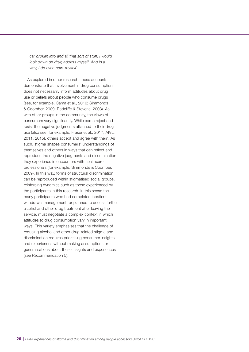*car broken into and all that sort of stuff, I would look down on drug addicts myself. And in a way, I do even now, myself.*

As explored in other research, these accounts demonstrate that involvement in drug consumption does not necessarily inform attitudes about drug use or beliefs about people who consume drugs (see, for example, Cama et al., 2016; Simmonds & Coomber, 2009; Radcliffe & Stevens, 2008). As with other groups in the community, the views of consumers vary significantly. While some reject and resist the negative judgments attached to their drug use (also see, for example, Fraser et al., 2017; AIVL, 2011, 2015), others accept and agree with them. As such, stigma shapes consumers' understandings of themselves and others in ways that can reflect and reproduce the negative judgments and discrimination they experience in encounters with healthcare professionals (for example, Simmonds & Coomber, 2009). In this way, forms of structural discrimination can be reproduced within stigmatised social groups, reinforcing dynamics such as those experienced by the participants in this research. In this sense the many participants who had completed inpatient withdrawal management, or planned to access further alcohol and other drug treatment after leaving the service, must negotiate a complex context in which attitudes to drug consumption vary in important ways. This variety emphasises that the challenge of reducing alcohol and other drug-related stigma and discrimination requires prioritising consumer insights and experiences without making assumptions or generalisations about these insights and experiences (see Recommendation 5).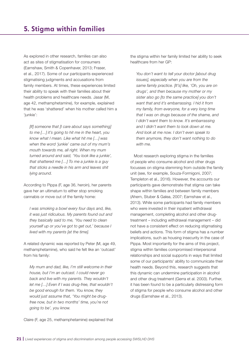<span id="page-20-0"></span>As explored in other research, families can also act as sites of stigmatisation for consumers (Earnshaw, Smith & Copenhaver, 2013; Fraser, et al., 2017). Some of our participants experienced stigmatising judgments and accusations from family members. At times, these experiences limited their ability to speak with their families about their health problems and healthcare needs. Jasar (M, age 42, methamphetamine), for example, explained that he was 'shattered' when his mother called him a 'junkie':

*[If] someone that [I care about says something] to me […] it's going to hit me in the heart, you know what I mean. Like what hit me […] was when the word 'junkie' came out of my mum's mouth towards me, all right. When my mum turned around and said, 'You look like a junkie', that shattered me […] To me a junkie is a guy that sticks a needle in his arm and leaves shit lying around.*

According to Pippa (F, age 36, heroin), her parents gave her an ultimatum to either stop smoking cannabis or move out of the family home:

*I was smoking a bowl every four days and, like, it was just ridiculous. My parents found out and they basically said to me, 'You need to clean yourself up or you've got to get out,' because I lived with my parents [at the time].*

A related dynamic was reported by Peter (M, age 49, methamphetamine), who said he felt like an 'outcast' from his family:

*My mum and dad, like, I'm still welcome in their house, but I'm an outcast. I could never go back and live with my parents. They wouldn't let me […] Even if I was drug-free, that wouldn't be good enough for them. You know, they would just assume that, 'You might be drugfree now, but in two months' time, you're not going to be', you know.*

the stigma within her family limited her ability to seek healthcare from her GP:

*You don't want to tell your doctor [about drug issues], especially when you are from the same family practice. [It's] like, 'Oh, you are on drugs', and then because my mother or my sister also go [to the same practice] you don't want that and it's embarrassing. I hid it from my family, from everyone, for a very long time that I was on drugs because of the shame, and I didn't want them to know. It's embarrassing and I didn't want them to look down at me. And look at me now. I don't even speak to them anymore, they don't want nothing to do with me.*

Most research exploring stigma in the families of people who consume alcohol and other drugs focusses on stigma stemming from outside the family unit (see, for example, Souza-Formigoni, 2007; Templeton et al., 2016). However, the accounts our participants gave demonstrate that stigma can take shape within families and between family members (Ahern, Stuber & Galea, 2007; Earnshaw et al., 2013). While some participants had family members who were invested in their inpatient withdrawal management, completing alcohol and other drugtreatment – including withdrawal management – did not have a consistent effect on reducing stigmatising beliefs and actions. This form of stigma has a number implications, such as housing insecurity in the case of Pippa. Most importantly for the aims of this project, stigma within families compromised interpersonal relationships and social supports in ways that limited some of our participants' ability to communicate their health needs. Beyond this, research suggests that this dynamic can undermine participation in alcohol and other drug treatment (Gerra et al. 2003). Further, it has been found to be a particularly distressing form of stigma for people who consume alcohol and other drugs (Earnshaw et al., 2013).

Claire (F, age 25, methamphetamine) explained that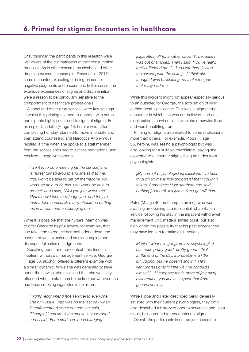<span id="page-21-0"></span>Unsurprisingly, the participants in this research were well aware of the stigmatisation of their consumption practices. As in other research on alcohol and other drug stigma (see, for example, Fraser et al., 2017), some recounted expecting or being primed for, negative judgments and encounters. In this sense, their extensive experiences of stigma and discrimination were a reason to be particularly sensitive to the comportment of healthcare professionals.

Alcohol and other drug services were key settings in which this priming seemed to operate, with some participants highly sensitised to signs of stigma. For example, Charlotte (F, age 46, heroin) who, after completing her stay, planned to move interstate and then attend counselling and Narcotics Anonymous, recalled a time when she spoke to a staff member from the service she used to access methadone, and received a negative response:

*I went in to do a meeting [at the service] and [a nurse] turned around and she said to me, 'You won't be able to get off methadone, you won't be able to do this, you won't be able to do that' and I said, 'Well you just watch me'. That's how I feel, they judge you, and they're methadone nurses, like, they should be putting me in a room and encouraging me.*

While it is possible that the nurse's intention was to offer Charlotte helpful advice, for example, that she take time to reduce her methadone dose, the encounter was experienced as discouraging and disrespectful series of judgments.

Speaking about another context, this time an inpatient withdrawal management service, Georgie (F, age 50, alcohol) offered a different example with a similar dynamic. While she was generally positive about the service, she explained that she was very offended when a staff member asked her whether she had been smoking cigarettes in her room:

*I highly recommend [the service] to everyone. The only issue I had was on the last day when [a staff member] come out and she said, '[Georgie] I can smell the smoke in your room' and I said, 'For a start, I've been bludging* 

*[cigarettes] off [of another patient]', because I was out of smokes. Then I said, 'You've really, really offended me' […] so I left there [exited the service] with the shits […] I think she thought I was bullshitting, so that's the part that really hurt me.*

While this incident might not appear especially serious to an outsider, for Georgie, the accusation of lying carried great significance. This was a stigmatising encounter in which she was not believed, and as a result exited a service – a service she otherwise liked and was benefitting from.

Priming for stigma also related to some professions more than others. For example, Pippa (F, age 36, heroin), was seeing a psychologist but was also looking for a suitable psychiatrist, saying she expected to encounter stigmatising attitudes from psychologists.

*[My current psychologist is] excellent. I've been through so many [psychologists] that I couldn't talk to. Sometimes I just sat there and said nothing [to them]. It's just a vibe I got off them.* 

Peter (M, age 49, methamphetamine), who was awaiting an opening at a residential rehabilitation service following his stay in the inpatient withdrawal management unit, made a similar point, but also highlighted the possibility that his past experiences may have led him to make assumptions:

*Most of what I've got [from my psychologist] has been pretty good, pretty good. I think, at the end of the day, it probably is a little bit judging, but he doesn't show it. He's very professional [in] the way he conducts himself […] I suppose that's more of [my own] assumption, you know. I expect that from general society.* 

While Pippa and Peter described being generally satisfied with their current psychologists, they both also described a history of poor experiences and, as a result, being primed for encountering stigma. Overall, the participants in our project needed to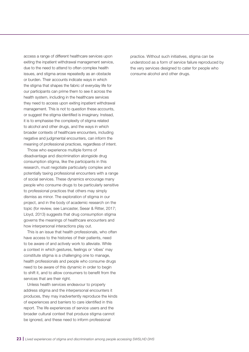access a range of different healthcare services upon exiting the inpatient withdrawal management service, due to the need to attend to often complex health issues, and stigma arose repeatedly as an obstacle or burden. Their accounts indicate ways in which the stigma that shapes the fabric of everyday life for our participants can prime them to see it across the health system, including in the healthcare services they need to access upon exiting inpatient withdrawal management. This is not to question these accounts, or suggest the stigma identified is imaginary. Instead, it is to emphasise the complexity of stigma related to alcohol and other drugs, and the ways in which broader contexts of healthcare encounters, including negative and judgmental encounters, can inform the meaning of professional practices, regardless of intent.

Those who experience multiple forms of disadvantage and discrimination alongside drug consumption stigma, like the participants in this research, must negotiate particularly complex and potentially taxing professional encounters with a range of social services. These dynamics encourage many people who consume drugs to be particularly sensitive to professional practices that others may simply dismiss as minor. The exploration of stigma in our project, and in the body of academic research on the topic (for review, see Lancaster, Seear & Ritter, 2017; Lloyd, 2013) suggests that drug consumption stigma governs the meanings of healthcare encounters and how interpersonal interactions play out.

This is an issue that health professionals, who often have access to the histories of their patients, need to be aware of and actively work to alleviate. While a context in which gestures, feelings or 'vibes' may constitute stigma is a challenging one to manage, health professionals and people who consume drugs need to be aware of this dynamic in order to begin to shift it, and to allow consumers to benefit from the services that are their right.

Unless health services endeavour to properly address stigma and the interpersonal encounters it produces, they may inadvertently reproduce the kinds of experiences and barriers to care identified in this report. The life experiences of service users and the broader cultural context that produce stigma cannot be ignored, and these need to inform professional

practice. Without such initiatives, stigma can be understood as a form of service failure reproduced by the very services designed to cater for people who consume alcohol and other drugs.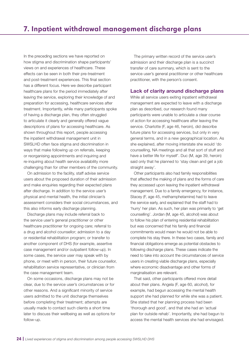<span id="page-23-0"></span>In the preceding sections we have reported on how stigma and discrimination shape participants' views on and experiences of healthcare. These effects can be seen in both their pre-treatment and post-treatment experiences. This final section has a different focus. Here we describe participant healthcare plans for the period immediately after leaving the service, exploring their knowledge of and preparation for accessing, healthcare services after treatment. Importantly, while many participants spoke of having a discharge plan, they often struggled to articulate it clearly and generally offered vague descriptions of plans for accessing healthcare. As shown throughout this report, people accessing the inpatient withdrawal management unit in SWSLHD often face stigma and discrimination in ways that make following up on referrals, keeping or reorganising appointments and inquiring and re-inquiring about health service availability more challenging than for other members of the community.

On admission to the facility, staff advise service users about the proposed duration of their admission and make enquiries regarding their expected plans after discharge. In addition to the service user's physical and mental health, the initial clinician's assessment considers their social circumstances, and this also informs early discharge planning.

Discharge plans may include referral back to the service user's general practitioner or other healthcare practitioner for ongoing care; referral to a drug and alcohol counsellor; admission to a day or residential rehabilitation program; or transfer to another component of DHS (for example, assertive case management and/or outpatient follow-up). In some cases, the service user may speak with by phone, or meet with in person, their future counsellor, rehabilitation service representative, or clinician from the case management team.

On some occasions, discharge plans may not be clear, due to the service user's circumstances or for other reasons. And a significant minority of service users admitted to the unit discharge themselves before completing their treatment; attempts are usually made to contact such clients a short time later to discuss their wellbeing as well as options for follow-up.

The primary written record of the service user's admission and their discharge plan is a succinct transfer of care summary, which is sent to the service user's general practitioner or other healthcare practitioner, with the person's consent.

## Lack of clarity around discharge plans

While all service users exiting inpatient withdrawal management are expected to leave with a discharge plan as described, our research found many participants were unable to articulate a clear course of action for accessing healthcare after leaving the service. Charlotte (F, age 46, heroin), did describe future plans for accessing services, but only in very general terms, and in a new geographical location. As she explained, after moving interstate she would 'do counselling, NA meetings and all that sort of stuff and have a better life for myself'. Duc (M, age 39, heroin) said only that he planned to 'stay clean and get a job straight away'.

Other participants also had family responsibilities that affected the making of plans and the forms of care they accessed upon leaving the inpatient withdrawal management. Due to a family emergency, for instance, Stacey (F, age 45, methamphetamine) had to leave the service early, and explained that the staff had to 'hurry' her plan. As such, her plan was primarily to 'get counselling'. Jordan (M, age 45, alcohol) was about to follow his plan of entering residential rehabilitation but was concerned that his family and financial commitments would mean he would not be able to complete his stay there. In these two cases, family and financial obligations emerge as potential obstacles to following discharge plans. These cases indicate the need to take into account the circumstances of service users in creating viable discharge plans, especially where economic disadvantage and other forms of marginalisation are relevant.

That said, other participants offered more detail about their plans. Angela (F, age 60, alcohol), for example, had begun accessing the mental health support she had planned for while she was a patient. She stated that her planning process had been 'thorough and good', and that she had an 'actual plan for outside rehab'. Importantly, she had begun to access the mental health services she had envisaged.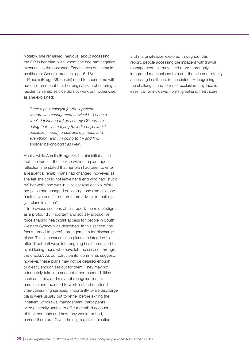Notably, she remained 'nervous' about accessing the GP in her plan, with whom she had had negative experiences the past (see, Experiences of stigma in healthcare: General practice, pp.16–18).

Pippa's (F, age 36, heroin) need to spend time with her children meant that her original plan of entering a residential rehab service did not work out. Otherwise, as she explained:

*'I see a psychologist [at the inpatient withdrawal management service] […] once a week. I [planned to] go see my GP and I'm doing that … I'm trying to find a psychiatrist because [I need] to stabilise my meds and everything, and I'm going to try and find another psychologist as well'.*

Finally, while Amelia (F, age 34, heroin) initially said that she had left the service without a plan, upon reflection she stated that her plan had been to enter a residential rehab. Plans had changed, however, as she felt she could not leave her friend who had 'stuck by' her while she was in a violent relationship. While her plans had changed on leaving, she also said she could have benefitted from more advice on 'putting [...] plans in action'.

In previous sections of this report, the role of stigma as a profoundly important and socially productive force shaping healthcare access for people in South Western Sydney was described. In this section, the focus turned to specific arrangements for discharge plans. This is because such plans are intended to offer direct pathways into ongoing healthcare, and to avoid losing those who have left the service 'through the cracks'. As our participants' comments suggest, however, these plans may not be detailed enough, or clearly enough set out for them. They may not adequately take into account other responsibilities such as family, and may not recognise financial hardship and the need to work instead of attend time-consuming services. Importantly, while discharge plans were usually put together before exiting the inpatient withdrawal management, participants were generally unable to offer a detailed account of their contents and how they would, or had, carried them out. Given the stigma, discrimination

and marginalisation explored throughout this report, people accessing the inpatient withdrawal management unit may need more thoroughly integrated mechanisms to assist them in consistently accessing healthcare in the district. Recognising the challenges and forms of exclusion they face is essential for inclusive, non-stigmatising healthcare.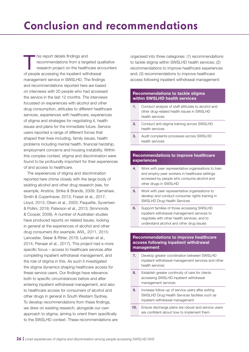<span id="page-25-0"></span>his report details findings and<br>recommendations from a target<br>research project on the health recommendations from a targeted qualitative research project on the healthcare encounters of people accessing the inpatient withdrawal management service in SWSLHD. The findings and recommendations reported here are based on interviews with 20 people who had accessed the service in the last 12 months. The interviews focussed on experiences with alcohol and other drug consumption, attitudes to different healthcare services, experiences with healthcare, experiences of stigma and strategies for negotiating it, health issues and plans for the immediate future. Service users reported a range of different forces that shaped their lives including, family issues, health problems including mental health, financial hardship, employment concerns and housing instability. Within this complex context, stigma and discrimination were found to be profoundly important for their experiences of and access to healthcare.

The experiences of stigma and discrimination reported here chime closely with the large body of existing alcohol and other drug research (see, for example, Anstice, Strike & Brands, 2009; Earnshaw, Smith & Copenhaver, 2013; Fraser et al., 2017; Lloyd, 2013; Olsen et al., 2003; Paquette, Syvertsen & Pollini, 2018; Paterson et al., 2013; Simmonds & Cooper, 2009). A number of Australian studies have produced reports on related issues, looking in general at the experiences of alcohol and other drug consumers (for example, AIVL, 2011, 2015; Lancaster, Seear & Ritter, 2018; Lubman et al., 2014; Pienaar et al., 2017). This project had a more specific focus – access to healthcare services after completing inpatient withdrawal management, and the role of stigma in this. As such it investigated the stigma dynamics shaping healthcare access for these service users. Our findings have relevance both to specific circumstances before and after entering inpatient withdrawal management, and also to healthcare access for consumers of alcohol and other drugs in general in South Western Sydney. To develop recommendations from these findings, we drew on existing research, alongside our own approach to stigma, aiming to orient them specifically to the SWSLHD context. These recommendations are organised into three categories: (1) recommendations to tackle stigma within SWSLHD health services; (2) recommendations to improve healthcare experiences and; (3) recommendations to improve healthcare access following inpatient withdrawal management:

## Recommendations to tackle stigma within SWSLHD health services

- 1. Conduct analysis of staff attitudes to alcohol and other drug-related health issues in SWSLHD health services
- 2. Conduct anti-stigma training across SWSLHD health services
- 3. Audit complaints processes across SWSLHD health services

## Recommendations to improve healthcare experiences

- 4. Work with peer representative organisations to train and employ peer workers in healthcare settings accessed by people who consume alcohol and other drugs in SWSLHD
- **5.** Work with peer representative organisations to develop and conduct consumer rights training in SWSLHD Drug Health Services
- 6. Support families of those accessing SWSLHD inpatient withdrawal management services to negotiate with other health services, and to understand alcohol and other drug issues

## Recommendations to improve healthcare access following inpatient withdrawal management

- 7. Develop greater coordination between SWSLHD inpatient withdrawal management services and other health services
- 8. Establish greater continuity of care for clients accessing SWSLHD inpatient withdrawal management services
- **9.** Increase follow-up of service users after exiting SWSLHD Drug Health Services facilities such as inpatient withdrawal management
- 10. Ensure discharge plans are robust and service users are confident about how to implement them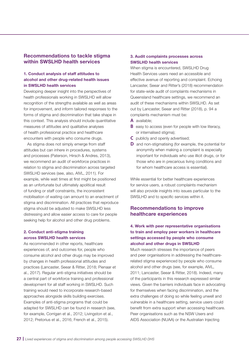## Recommendations to tackle stigma within SWSLHD health services

## 1. Conduct analysis of staff attitudes to alcohol and other drug-related health issues in SWSLHD health services

Developing deeper insight into the perspectives of health professionals working in SWSLHD will allow recognition of the strengths available as well as areas for improvement, and inform tailored responses to the forms of stigma and discrimination that take shape in this context. This analysis should include quantitative measures of attitudes and qualitative analyses of health professional practice and healthcare encounters with people who consume drugs.

As stigma does not simply emerge from staff attitudes but can inhere in procedures, systems and processes (Paterson, Hirsch & Andres, 2013), we recommend an audit of workforce practices in relation to stigma and discrimination across targeted SWSLHD services (see, also, AIVL, 2011). For example, while wait times at first might be positioned as an unfortunate but ultimately apolitical result of funding or staff constraints, the inconsistent mobilisation of waiting can amount to an enactment of stigma and discrimination. All practices that reproduce stigma should be adjusted to make SWSLHD less distressing and allow easier access to care for people seeking help for alcohol and other drug problems.

## 2. Conduct anti-stigma training across SWSLHD health services

As recommended in other reports, healthcare experiences of, and outcomes for, people who consume alcohol and other drugs may be improved by changes in health professional attitudes and practices (Lancaster, Seear & Ritter, 2018; Pienaar et al., 2017). Regular anti-stigma initiatives should be a central part of workforce training and professional development for all staff working in SWSLHD. Such training would need to incorporate research-based approaches alongside skills building exercises. Examples of anti-stigma programs that could be adapted for SWSLHD can be found in research (see, for example, Corrigan et al., 2012; Livingston et al., 2012; Pretorius et al., 2016; French et al., 2015).

## 3. Audit complaints processes across SWSLHD health services

When stigma is encountered, SWSLHD Drug Health Services users need an accessible and effective avenue of reporting and complaint. Echoing Lancaster, Seear and Ritter's (2018) recommendation for state-wide audit of complaints mechanisms in Queensland healthcare settings, we recommend an audit of these mechanisms within SWSLHD. As set out by Lancaster, Seear and Ritter (2018), p. 94 a complaints mechanism must be:

- **A** available;
- **B** easy to access (even for people with low literacy, or internalised stigma);
- **C** publicly and openly advertised;
- **D** and non-stigmatising (for example, the potential for anonymity when making a complaint is especially important for individuals who use illicit drugs, or for those who are in precarious living conditions and for whom healthcare access is essential).

While essential for better healthcare experiences for service users, a robust complaints mechanism will also provide insights into issues particular to the SWSLHD and to specific services within it.

## Recommendations to improve healthcare experiences

## 4. Work with peer representative organisations to train and employ peer workers in healthcare settings accessed by people who consume alcohol and other drugs in SWSLHD

Much research stresses the importance of peers and peer organisations in addressing the healthcarerelated stigma experienced by people who consume alcohol and other drugs (see, for example, AIVL, 2011; Lancaster, Seear & Ritter, 2018). Indeed, many of the participants in this research expressed similar views. Given the barriers individuals face in advocating for themselves when facing discrimination, and the extra challenges of doing so while feeling unwell and vulnerable in a healthcare setting, service users could benefit from extra support when accessing healthcare. Peer organisations such as the NSW Users and AIDS Association (NUAA) or the Australian Injecting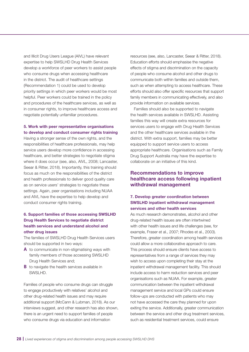and Illicit Drug Users League (AIVL) have relevant expertise to help SWSLHD Drug Health Services develop a workforce of peer workers to assist people who consume drugs when accessing healthcare in the district. The audit of healthcare settings (Recommendation 1) could be used to develop priority settings in which peer workers would be most helpful. Peer workers could be trained in the policy and procedures of the healthcare services, as well as in consumer rights, to improve healthcare access and negotiate potentially unfamiliar procedures.

## 5. Work with peer representative organisations to develop and conduct consumer rights training

Having a stronger sense of the own rights, and the responsibilities of healthcare professionals, may help service users develop more confidence in accessing healthcare, and better strategies to negotiate stigma where it does occur (see, also, AIVL, 2008; Lancaster, Seear & Ritter, 2018). Importantly, this training should focus as much on the responsibilities of the district and health professionals to deliver good quality care as on service users' strategies to negotiate these settings. Again, peer organisations including NUAA and AIVL have the expertise to help develop and conduct consumer rights training.

## 6. Support families of those accessing SWSLHD Drug Health Services to negotiate district health services and understand alcohol and other drug issues

The families of SWSLHD Drug Health Services users should be supported in two ways:

- **A** to communicate in non-stigmatising ways with family members of those accessing SWSLHD Drug Health Services and;
- **B** to navigate the health services available in SWSLHD.

Families of people who consume drugs can struggle to engage productively with relatives' alcohol and other drug-related health issues and may require additional support (McCann & Lubman, 2018). As our interviews suggest, and other research has also shown, there is an urgent need to support families of people who consume drugs via education and information

resources (see, also, Lancaster, Seear & Ritter, 2018). Education efforts should emphasise the negative effects of stigma and discrimination on the capacity of people who consume alcohol and other drugs to communicate both within families and outside them, such as when attempting to access healthcare. These efforts should also offer specific resources that support family members in communicating effectively, and also provide information on available services.

Families should also be supported to navigate the health services available in SWSLHD. Assisting families this way will create extra resources for services users to engage with Drug Health Services and the other healthcare services available in the district. With extra support, families may be better equipped to support service users to access appropriate healthcare. Organisations such as Family Drug Support Australia may have the expertise to collaborate on an initiative of this kind.

## Recommendations to improve healthcare access following inpatient withdrawal management

## 7. Develop greater coordination between SWSLHD inpatient withdrawal management services and other health services

As much research demonstrates, alcohol and other drug-related health issues are often intertwined with other health issues and life challenges (see, for example, Fraser et al., 2007; Rhodes et al., 2003). Therefore, greater coordination among health services could allow a more collaborative approach to care. This process should ensure clients have access to representatives from a range of services they may wish to access upon completing their stay at the inpatient withdrawal management facility. This should include access to harm reduction services and peer organisations such as NUAA. For example, greater communication between the inpatient withdrawal management service and local GPs could ensure follow-ups are conducted with patients who may not have accessed the care they planned for upon exiting the service. Additionally, greater communication between the service and other drug treatment services, such as residential treatment services, could ensure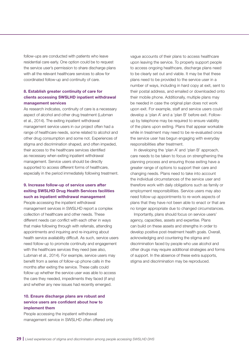follow-ups are conducted with patients who leave residential care early. One option could be to request the service user's permission to share discharge plans with all the relevant healthcare services to allow for coordinated follow-up and continuity of care.

## 8. Establish greater continuity of care for clients accessing SWSLHD inpatient withdrawal management services

As research indicates, continuity of care is a necessary aspect of alcohol and other drug treatment (Lubman et al., 2014). The exiting inpatient withdrawal management service users in our project often had a range of healthcare needs, some related to alcohol and other drug consumption and some not. Experiences of stigma and discrimination shaped, and often impeded, their access to the healthcare services identified as necessary when exiting inpatient withdrawal management. Service users should be directly supported to access different forms of healthcare, especially in the period immediately following treatment.

## 9. Increase follow-up of service users after exiting SWSLHD Drug Health Services facilities such as inpatient withdrawal management

People accessing the inpatient withdrawal management services in SWSLHD report a complex collection of healthcare and other needs. These different needs can conflict with each other in ways that make following through with referrals, attending appointments and inquiring and re-inquiring about health service availability difficult. As such, service users need follow-up to promote continuity and engagement with the healthcare services they need (see also, Lubman et al., 2014). For example, service users may benefit from a series of follow-up phone calls in the months after exiting the service. These calls could follow up whether the service user was able to access the care they needed, impediments they faced (if any) and whether any new issues had recently emerged.

## 10. Ensure discharge plans are robust and service users are confident about how to implement them

People accessing the inpatient withdrawal management service in SWSLHD often offered only vague accounts of their plans to access healthcare upon leaving the service. To properly support people to access ongoing healthcare, discharge plans need to be clearly set out and viable. It may be that these plans need to be provided to the service user in a number of ways, including in hard copy at exit, sent to their postal address, and emailed or downloaded onto their mobile phone. Additionally, multiple plans may be needed in case the original plan does not work upon exit. For example, staff and service users could develop a 'plan A' and a 'plan B' before exit. Followup by telephone may be required to ensure viability of the plans upon exiting. Plans that appear workable while in treatment may need to be re-evaluated once the service user has begun engaging with everyday responsibilities after treatment.

In developing the 'plan A' and 'plan B' approach, care needs to be taken to focus on strengthening the planning process and ensuring those exiting have a greater range of options to support their care and changing needs. Plans need to take into account the individual circumstances of the service user and therefore work with daily obligations such as family or employment responsibilities. Service users may also need follow-up appointments to re-work aspects of plans that they have not been able to enact or that are no longer appropriate due to changed circumstances.

Importantly, plans should focus on service users' agency, capacities, assets and expertise. Plans can build on these assets and strengths in order to develop positive post-treatment health goals. Overall, acknowledging and countering the stigma and discrimination faced by people who use alcohol and other drugs may require additional strategies and forms of support. In the absence of these extra supports, stigma and discrimination may be reproduced.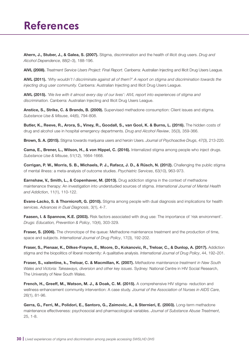## <span id="page-29-0"></span>**References**

Ahern, J., Stuber, J., & Galea, S. (2007). Stigma, discrimination and the health of illicit drug users. *Drug and Alcohol Dependence*, 88(2–3), 188-196.

AIVL (2008). *Treatment Service Users Project: Final Report.* Canberra: Australian Injecting and Illicit Drug Users League.

AIVL (2011). *'Why wouldn't I discriminate against all of them?' A report on stigma and discrimination towards the injecting drug user community.* Canberra: Australian Injecting and Illicit Drug Users League.

AIVL (2015). *'We live with it almost every day of our lives': AIVL report into experiences of stigma and discrimination.* Canberra: Australian Injecting and Illicit Drug Users League.

Anstice, S., Strike, C. & Brands, B. (2009). Supervised methadone consumption: Client issues and stigma. *Substance Use & Misuse*, 44(6), 794-808.

Butler, K., Reeve, R., Arora, S., Viney, R., Goodall, S., van Gool, K. & Burns, L. (2016). The hidden costs of drug and alcohol use in hospital emergency departments. *Drug and Alcohol Review*, 35(3), 359-366.

Brown, S. A. (2015). Stigma towards marijuana users and heroin Users. *Journal of Psychoactive Drugs*, 47(3), 213-220.

Cama, E., Brener, L., Wilson, H., & von Hippel, C. (2016). Internalized stigma among people who inject drugs. *Substance Use & Misuse*, 51(12), 1664-1668.

Corrigan, P. W., Morris, S. B., Michaels, P. J., Rafacz, J. D., & Rüsch, N. (2012). Challenging the public stigma of mental illness: a meta-analysis of outcome studies. *Psychiatric Services*, 63(10), 963-973.

Earnshaw, V., Smith, L., & Copenhaver, M. (2013). Drug addiction stigma in the context of methadone maintenance therapy: An investigation into understudied sources of stigma. *International Journal of Mental Health and Addiction*, 11(1), 110-122.

Evans-Lacko, S. & Thornicroft, G. (2010). Stigma among people with dual diagnosis and implications for health services. *Advances in Dual Diagnosis*, 3(1), 4-7.

Faasen, I. & Spannow, K.E. (2003). Risk factors associated with drug use: The importance of 'risk environment'. *Drugs: Education, Prevention & Policy*, 10(4), 303-329.

**Fraser, S. (2006).** The chronotope of the queue: Methadone maintenance treatment and the production of time, space and subjects. *International Journal of Drug Policy*, 17(3), 192-202.

Fraser, S., Pienaar, K., Dilkes-Frayne, E., Moore, D., Kokanovic, R., Treloar, C., & Dunlop, A. (2017). Addiction stigma and the biopolitics of liberal modernity: A qualitative analysis. *International Journal of Drug Policy*, 44, 192–201.

Fraser, S., valentine, k., Treloar, C. & Macmillan, K. (2007). *Methadone maintenance treatment in New South Wales and Victoria: Takeaways, diversion and other key issues*. Sydney: National Centre in HIV Social Research, The University of New South Wales.

French, H., Greeff, M., Watson, M. J., & Doak, C. M. (2015). A comprehensive HIV stigma- reduction and wellness-enhancement community intervention: A case study. *Journal of the Association of Nurses in AIDS Care*, 26(1), 81-96.

Gerra, G., Ferri, M., Polidori, E., Santoro, G., Zaimovic, A., & Sternieri, E. (2003). Long-term methadone maintenance effectiveness: psychosocial and pharmacological variables. *Journal of Substance Abuse Treatment*, 25, 1-8.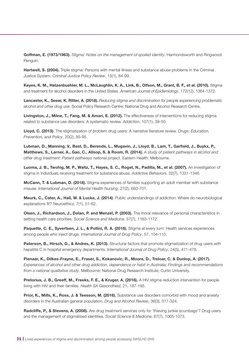Goffman, E. (1973/1963). *Stigma: Notes on the management of spoiled identity*. Harmondsworth and Ringwood: Penguin.

Hartwell, S. (2004). Triple stigma: Persons with mental illness and substance abuse problems in the Criminal Justice System. *Criminal Justice Policy Review*, 15(1), 84-99.

Keyes, K. M., Hatzenbuehler, M. L., McLaughlin, K. A., Link, B., Olfson, M., Grant, B. F., et al. (2010). Stigma and treatment for alcohol disorders in the United States. *American Journal of Epidemiology*, 172(12), 1364-1372.

Lancaster, K., Seear, K. Ritter, A. (2018). *Reducing stigma and discrimination for people experiencing problematic alcohol and other drug use*. Social Policy Research Centre: National Drug and Alcohol Research Centre.

Livingston, J., Milne, T., Fang, M. & Amari, E. (2012). The effectiveness of interventions for reducing stigma related to substance use disorders: A systematic review. *Addiction*, 107(1), 39-50.

Lloyd, C. (2013). The stigmatization of problem drug users: A narrative literature review. *Drugs: Education, Prevention, and Policy*, 20(2), 85-95.

Lubman, D., Manning, V., Best, D., Berends, L., Mugavin, J., Lloyd, B., Lam, T., Garfield, J., Buykx, P., Matthews, S., Larner, A., Gao, C., Allsop, S. & Room, R. (2014). *A study of patient pathways in alcohol and other drug treatment: Patient pathways national project*. Eastern Health: Melbourne.

Luoma, J. B., Twohig, M. P., Waltz, T., Hayes, S. C., Roget, N., Padilla, M., et al. (2007). An investigation of stigma in individuals receiving treatment for substance abuse. *Addictive Behaviors*, 32(7), 1331-1346.

**McCann, T. & Lubman, D. (2018).** Stigma experiences of families supporting an adult member with substance misuse. *International Journal of Mental Health Nursing*, 27(2), 693-701.

Meurk, C., Cater, A., Hall, W. & Lucke, J. (2014). Public understandings of addiction: Where do neurobiological explanations fit? *Neuroethics*, 7(1), 51-62.

Olsen, J., Richardson, J., Dolan, P. and Menzel, P. (2003). The moral relevance of personal characteristics in setting health care priorities. *Social Science and Medicine*, 57(7), 1163-1172.

Paquette, C. E., Syvertsen, J. L., & Pollini, R. A. (2018). Stigma at every turn: Health services experiences among people who inject drugs. *International Journal of Drug Policy*, 57, 104-110.

Paterson, B., Hirsch, G., & Andres, K. (2013). Structural factors that promote stigmatization of drug users with hepatitis C in hospital emergency departments. *International Journal of Drug Policy*, 24(5), 471-478.

Pienaar, K., Dilkes-Frayne, E., Fraser, S., Kokanovic, R., Moore, D., Treloar, C. & Dunlop, A. (2017). *Experiences of alcohol and other drug addiction, dependence or habit in Australia: Findings and recommendations from a national qualitative study*. Melbourne: National Drug Research Institute, Curtin University.

Pretorius, J. B., Greeff, M., Freeks, F. E., & Kruger, A. (2016). A HIV stigma reduction intervention for people living with HIV and their families. *Health SA Gesondheid*, 21, 187-195.

Prior, K., Mills, K., Ross, J. & Teesson, M. (2016). Substance use disorders comorbid with mood and anxiety disorders in the Australian general population. *Drug and Alcohol Review*, 36(3), 317-324.

Radcliffe, P., & Stevens, A. (2008). Are drug treatment services only for 'thieving junkie scumbags'? Drug users and the management of stigmatised identities. *Social Science & Medicine*, 67(7), 1065-1073.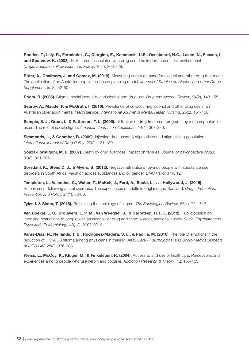Rhodes, T., Lilly, R., Fernández, C., Giorgino, E., Kemmesis, U.E., Ossebaard, H.C., Lalam, N., Fassen, I. and Spannow, K. (2003). Risk factors associated with drug use: The importance of 'risk environment'. *Drugs: Education, Prevention and Policy*, 10(4), 303-329.

Ritter, A., Chalmers, J. and Gomez, M. (2019). Measuring unmet demand for alcohol and other drug treatment: The application of an Australian population-based planning model. *Journal of Studies on Alcohol and other Drugs, Supplement*, (s18), 42-50.

Room, R. (2005). Stigma, social inequality and alcohol and drug use. *Drug and Alcohol Review*, 24(2), 143-155.

Searby, A., Maude, P. & McGrath, I. (2016). Prevalence of co-occurring alcohol and other drug use in an Australian older adult mental health service. *International Journal of Mental Health Nursing*, 25(2), 151-158.

Semple, S. J., Grant, I., & Patterson, T. L. (2005). Utilization of drug treatment programs by methamphetamine users: The role of social stigma. *American Journal on Addictions*, 14(4), 367-380.

Simmonds, L., & Coomber, R. (2009). Injecting drug users: A stigmatised and stigmatising population. *International Journal of Drug Policy*, 20(2), 121-130.

Souza-Formigoni, M. L. (2007). Death by drug overdose: Impact on families. *Journal of psychoactive drugs,*  39(3), 301-306.

Sorsdahl, K., Stein, D. J., & Myers, B. (2012). Negative attributions towards people with substance use disorders in South Africa: Variation across substances and by gender. *BMC Psychiatry*, 12.

Templeton, L., Valentine, C., Walter, T., McKell, J., Ford, A., Bauld, L., . . . Hollywood, J. (2016). Bereavement following a fatal overdose: The experiences of adults in England and Scotland. *Drugs: Education, Prevention and Policy,* 24(1), 58-66.

Tyler, I. & Slater, T. (2018). Rethinking the sociology of stigma. *The Sociological Review*, 66(4), 721-743.

Van Boekel, L. C., Brouwers, E. P. M., Van Weeghel, J., & Garretsen, H. F. L. (2013). Public opinion on imposing restrictions to people with an alcohol- or drug addiction: A cross-sectional survey. *Social Psychiatry and Psychiatric Epidemiology*, 48(12), 2007-2016.

Varas-Díaz, N., Neilands, T. B., Rodríguez-Madera, S. L., & Padilla, M. (2016). The role of emotions in the reduction of HIV/AIDS stigma among physicians in training. *AIDS Care - Psychological and Socio-Medical Aspects of AIDS/HIV*, 28(3), 376-383.

Weiss, L., McCoy, K., Kluger, M., & Finkelstein, R. (2004). Access to and use of healthcare: Perceptions and experiences among people who use heroin and cocaine. *Addiction Research & Theory*, 12, 155-165.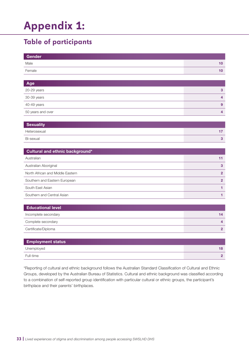# <span id="page-32-0"></span>**Appendix 1:**

## **Table of participants**

| Gender |  |
|--------|--|
| Male   |  |
| Female |  |

| Age               |  |
|-------------------|--|
| 20-29 years       |  |
| 30-39 years       |  |
| 40-49 years       |  |
| 50 years and over |  |

| <b>Sexuality</b> |  |
|------------------|--|
| Heterosexual     |  |
| Bi-sexual        |  |

| Cultural and ethnic background*  |  |  |  |
|----------------------------------|--|--|--|
| Australian                       |  |  |  |
| Australian Aboriginal            |  |  |  |
| North African and Middle Eastern |  |  |  |
| Southern and Eastern European    |  |  |  |
| South East Asian                 |  |  |  |
| Southern and Central Asian       |  |  |  |

| <b>Educational level</b> |  |
|--------------------------|--|
| Incomplete secondary     |  |
| Complete secondary       |  |
| Certificate/Diploma      |  |

| <b>Employment status</b> |    |
|--------------------------|----|
| Unemployed               | 18 |
| Full-time                |    |

\*Reporting of cultural and ethnic background follows the Australian Standard Classification of Cultural and Ethnic Groups, developed by the Australian Bureau of Statistics. Cultural and ethnic background was classified according to a combination of self-reported group identification with particular cultural or ethnic groups, the participant's birthplace and their parents' birthplaces.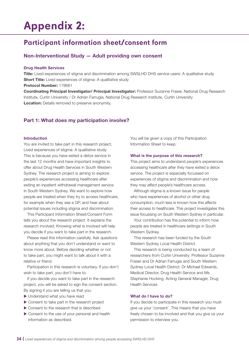## <span id="page-33-0"></span>**Appendix 2:**

## **Participant information sheet/consent form**

## Non-Interventional Study — Adult providing own consent

#### Drug Health Services

**Title:** Lived experiences of stigma and discrimination among SWSLHD DHS service users: A qualitative study **Short Title:** Lived experiences of stigma: A qualitative study Protocol Number: 178661

Coordinating Principal Investigator/ Principal Investigator: Professor Suzanne Fraser, National Drug Research Institute, Curtin University / Dr Adrian Farrugia, National Drug Research Institute, Curtin University **Location:** Details removed to preserve anonymity.

## Part 1: What does my participation involve?

#### Introduction

You are invited to take part in this research project, Lived experiences of stigma: A qualitative study. This is because you have exited a detox service in the last 12 months and have important insights to offer about Drug Health Services in South Western Sydney. The research project is aiming to explore people's experiences accessing healthcare after exiting an inpatient withdrawal management service in South Western Sydney. We want to explore how people are treated when they try to access healthcare, for example when they see a GP, and hear about potential issues including stigma and discrimination.

This Participant Information Sheet/Consent Form tells you about the research project. It explains the research involved. Knowing what is involved will help you decide if you want to take part in the research.

Please read this information carefully. Ask questions about anything that you don't understand or want to know more about. Before deciding whether or not to take part, you might want to talk about it with a relative or friend.

Participation in this research is voluntary. If you don't wish to take part, you don't have to.

If you decide you want to take part in the research project, you will be asked to sign the consent section. By signing it you are telling us that you:

- $\blacktriangleright$  Understand what you have read
- $\triangleright$  Consent to take part in the research project
- $\triangleright$  Consent to the research that is described
- $\triangleright$  Consent to the use of your personal and health information as described.

You will be given a copy of this Participation Information Sheet to keep.

#### What is the purpose of this research?

This project aims to understand people's experiences accessing healthcare after they have exited a detox service. The project is especially focussed on experiences of stigma and discrimination and how they may affect people's healthcare access.

Although stigma is a known issue for people who have experiences of alcohol or other drug consumption, much less is known how this affects their access to healthcare. This project investigates this issue focussing on South Western Sydney in particular.

Your contribution has the potential to inform how people are treated in healthcare settings in South Western Sydney.

This research has been funded by the South Western Sydney Local Health District.

This research is being conducted by a team of researchers from Curtin University: Professor Suzanne Fraser and Dr Adrian Farrugia and South Western Sydney Local Health District: Dr Michael Edwards, Medical Director, Drug Health Service and Ms Stephanie Hocking, Acting General Manager, Drug Health Services

### What do I have to do?

If you decide to participate in this research you must give us your 'consent'. This means that you have freely chosen to be involved and that you give us your permission to interview you.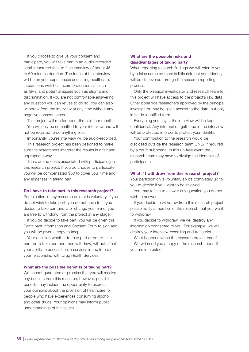If you choose to give us your consent and participate, you will take part in an audio-recorded semi-structured face to face interview of about 45 to 60 minutes duration. The focus of the interview will be on your experiences accessing healthcare, interactions with healthcare professionals (such as GPs) and potential issues such as stigma and discrimination. If you are not comfortable answering any question you can refuse to do so. You can also withdraw from the interview at any time without any negative consequences.

This project will run for about three to four months.

You will only be committed to your interview and will not be required to do anything else.

Importantly, you're interview will be audio-recorded.

This research project has been designed to make sure the researchers interpret the results in a fair and appropriate way.

There are no costs associated with participating in this research project. If you do choose to participate you will be compensated \$50 to cover your time and any expenses in taking part.

#### Do I have to take part in this research project?

Participation in any research project is voluntary. If you do not wish to take part, you do not have to. If you decide to take part and later change your mind, you are free to withdraw from the project at any stage.

If you do decide to take part, you will be given this Participant Information and Consent Form to sign and you will be given a copy to keep.

Your decision whether to take part or not to take part, or to take part and then withdraw, will not affect your ability to access health services in the future or your relationship with Drug Health Services.

#### What are the possible benefits of taking part?

We cannot guarantee or promise that you will receive any benefits from this research, however, possible benefits may include the opportunity to express your opinions about the provision of healthcare for people who have experiences consuming alcohol and other drugs. Your opinions may inform public understandings of the issues.

## What are the possible risks and disadvantages of taking part?

When reporting research findings we will refer to you by a false name so there is little risk that your identity will be discovered through the research reporting process.

Only the principal investigator and research team for this project will have access to the project's raw data. Other bona fide researchers approved by the principal investigator may be given access to the data, but only in its de-identified form.

Everything you say in the interview will be kept confidential. Any information gathered in the interview will be protected in order to protect your identity.

Your contribution to the research would be disclosed outside the research team ONLY if required by a court subpoena. In this unlikely event the research team may have to divulge the identities of participants.

#### What if I withdraw from this research project?

Your participation is voluntary so it's completely up to you to decide if you want to be involved.

You may refuse to answer any question you do not wish to answer.

If you decide to withdraw from this research project, please notify a member of the research that you want to withdraw.

If you decide to withdraw, we will destroy any information connected to you. For example, we will destroy your interview recording and transcript.

What happens when the research project ends? We will send you a copy of the research report if you are interested.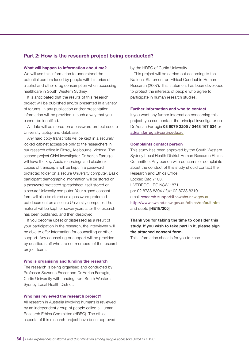## Part 2: How is the research project being conducted?

#### What will happen to information about me?

We will use this information to understand the potential barriers faced by people with histories of alcohol and other drug consumption when accessing healthcare in South Western Sydney.

It is anticipated that the results of this research project will be published and/or presented in a variety of forums. In any publication and/or presentation, information will be provided in such a way that you cannot be identified.

All data will be stored on a password protect secure University laptop and database.

Any hard copy transcripts will be kept in a securely locked cabinet accessible only to the researchers in our research office in Fitzroy, Melbourne, Victoria. The second project Chief Investigator, Dr Adrian Farrugia will have the key. Audio recordings and electronic copies of transcripts will be kept in a password protected folder on a secure University computer. Basic participant demographic information will be stored on a password protected spreadsheet itself stored on a secure University computer. Your signed consent form will also be stored as a password protected pdf document on a secure University computer. The material will be kept for seven years after the research has been published, and then destroyed.

If you become upset or distressed as a result of your participation in the research, the interviewer will be able to offer information for counselling or other support. Any counselling or support will be provided by qualified staff who are not members of the research project team.

#### Who is organising and funding the research

The research is being organised and conducted by Professor Suzanne Fraser and Dr Adrian Farrugia, Curtin University with funding from South Western Sydney Local Health District.

### Who has reviewed the research project?

All research in Australia involving humans is reviewed by an independent group of people called a Human Research Ethics Committee (HREC). The ethical aspects of this research project have been approved

by the HREC of Curtin University.

This project will be carried out according to the National Statement on Ethical Conduct in Human Research (2007). This statement has been developed to protect the interests of people who agree to participate in human research studies.

#### Further information and who to contact

If you want any further information concerning this project, you can contact the principal investigator on Dr Adrian Farrugia 03 9079 2205 / 0448 167 534 or [adrian.farrugia@curtin.edu.au](mailto:adrian.farrugia%40curtin.edu.au?subject=).

#### Complaints contact person

This study has been approved by the South Western Sydney Local Health District Human Research Ethics Committee. Any person with concerns or complaints about the conduct of this study should contact the Research and Ethics Office, Locked Bag 7103, LIVERPOOL BC NSW 1871 ph: 02 8738 8304 / fax: 02 8738 8310 email [research.support@sswahs.nsw.gov.au](mailto:research.support%40sswahs.nsw.gov.au?subject=), <http://www.swslhd.nsw.gov.au/ethics/default.html> and quote [HE18/205].

## Thank you for taking the time to consider this study. If you wish to take part in it, please sign the attached consent form.

This information sheet is for you to keep.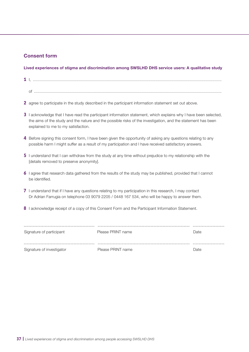## Consent form

## Lived experiences of stigma and discrimination among SWSLHD DHS service users: A qualitative study

- **1** I, ..................................................................................................................................................................... of ....................................................................................................................................................................
- **2** agree to participate in the study described in the participant information statement set out above.
- **3** I acknowledge that I have read the participant information statement, which explains why I have been selected, the aims of the study and the nature and the possible risks of the investigation, and the statement has been explained to me to my satisfaction.
- **4** Before signing this consent form, I have been given the opportunity of asking any questions relating to any possible harm I might suffer as a result of my participation and I have received satisfactory answers.
- **5** I understand that I can withdraw from the study at any time without prejudice to my relationship with the [details removed to preserve anonymity].
- **6** I agree that research data gathered from the results of the study may be published, provided that I cannot be identified.
- **7** I understand that if I have any questions relating to my participation in this research, I may contact Dr Adrian Farrugia on telephone 03 9079 2205 / 0448 167 534, who will be happy to answer them.
- **8** I acknowledge receipt of a copy of this Consent Form and the Participant Information Statement.

| Signature of participant  | Please PRINT name | Date |
|---------------------------|-------------------|------|
|                           |                   |      |
| Signature of investigator | Please PRINT name | Date |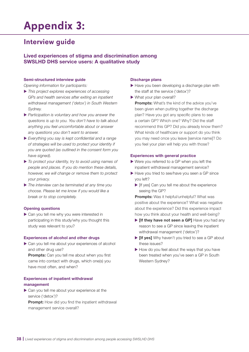## <span id="page-37-0"></span>**Appendix 3:**

## **Interview guide**

## Lived experiences of stigma and discrimination among SWSLHD DHS service users: A qualitative study

### Semi-structured interview guide

*Opening information for participants:*

- X *This project explores experiences of accessing GPs and health services after exiting an inpatient withdrawal management ('detox') in South Western Sydney.*
- X *Participation is voluntary and how you answer the questions is up to you. You don't have to talk about anything you feel uncomfortable about or answer any questions you don't want to answer.*
- X *Everything you say is kept confidential and a range of strategies will be used to protect your identity if you are quoted (as outlined in the consent form you have signed).*
- X *To protect your identity, try to avoid using names of people and places. If you do mention these details, however, we will change or remove them to protect your privacy.*
- X *The interview can be terminated at any time you choose. Please let me know if you would like a break or to stop completely.*

### Opening questions

▶ Can you tell me why you were interested in participating in this study/why you thought this study was relevant to you?

### Experiences of alcohol and other drugs

 $\triangleright$  Can you tell me about your experiences of alcohol and other drug use?

**Prompts:** Can you tell me about when you first came into contact with drugs, which one(s) you have most often, and when?

### Experiences of inpatient withdrawal management

 $\triangleright$  Can you tell me about your experience at the service ('detox')? **Prompt:** How did you find the inpatient withdrawal

management service overall?

## Discharge plans

- $\blacktriangleright$  Have you been developing a discharge plan with the staff at the service ('detox')?
- $\blacktriangleright$  What your plan overall?

Prompts: What's the kind of the advice you've been given when putting together the discharge plan? Have you got any specific plans to see a certain GP? Which one? Why? Did the staff recommend this GP? Did you already know them? What kinds of healthcare or support do you think you may need once you leave [service name]? Do you feel your plan will help you with those?

### Experiences with general practice

- $\blacktriangleright$  Were you referred to a GP when you left the inpatient withdrawal management service?
- $\blacktriangleright$  Have you tried to see/have you seen a GP since you left?
	- $\blacktriangleright$  [If yes] Can you tell me about the experience seeing the GP?

**Prompts:** Was it helpful/unhelpful? What was positive about the experience? What was negative about the experience? Did this experience impact how you think about your health and well-being?

- $\blacktriangleright$  [If they have not seen a GP] Have you had any reason to see a GP since leaving the inpatient withdrawal management ('detox')?
- $\triangleright$  [If yes] Why haven't you tried to see a GP about these issues?
- $\blacktriangleright$  How do you feel about the ways that you have been treated when you've seen a GP in South Western Sydney?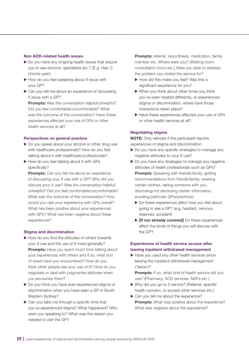### Non AOD-related health issues

- $\triangleright$  Do you have any ongoing health issues that require you to see doctors, specialists etc.? (E.g. Hep C, chronic pain)
- $\blacktriangleright$  How do you feel speaking about X issue with your GP?
- $\triangleright$  Can you tell me about an experience of discussing X issue with a GP?

Prompts: Was the conversation helpful/unhelpful? Did you feel comfortable/uncomfortable? What was the outcome of the conversation? Have these experiences effected your use of GPs or other health services at all?

#### Perspectives on general practice

- Do you speak about your alcohol or other drug use with healthcare professionals? How do you feel talking about it with healthcare professionals?
- How do you feel talking about it with GPs specifically?

**Prompts:** Can you tell me about an experience of discussing your X use with a GP? Why did you discuss your X use? Was the conversation helpful/ unhelpful? Did you feel comfortable/uncomfortable? What was the outcome of the conversation? How would you rate your experience with GPs overall? What has been positive about your experiences with GPs? What has been negative about these experiences?

#### Stigma and discrimination

- $\blacktriangleright$  How do you find the attitudes of others towards your X use and the use of X more generally? **Prompts:** Have you spent much time talking about your experiences with others and if so, what sort of views have you encountered? How do you think other people see your use of X? How do you negotiate or deal with judgmental attitudes when you encounter them?
- ▶ Do you think you have ever experienced stigma or discrimination when you have seen a GP in South Western Sydney?
- $\triangleright$  Can you take me through a specific time that you've experienced stigma? What happened? Who were you speaking to? What was the reason you needed to visit the GP?

**Prompts:** referral, injury/illness, medication, family member etc. Where were you? [Waiting room, consultation room etc.] Were you able to address the problem you visited the service for?

- $\blacktriangleright$  How did this make you feel? Was this a significant experience for you?
- $\triangleright$  When you think about other times you think you've been treated differently, or experienced stigma or discrimination, where have those interactions taken place?
- $\blacktriangleright$  Have these experiences affected your use of GPs or other health services at all?

#### Negotiating stigma

NOTE: Only relevant if the participant reports experiences of stigma and discrimination

- $\triangleright$  Do you have any specific strategies to manage any negative attitudes to your X use?
- $\blacktriangleright$  Do you have any strategies to manage any negative attitudes of health professionals such as GPs? **Prompts:** Speaking with friends/family, getting recommendations from friends/family, wearing certain clothes, taking someone with you, disclosing/not disclosing certain information, avoiding particular GPs/practices)
	- $\blacktriangleright$  Do these experiences affect how you feel about going to see a GP? (e.g. hesitant, nervous, reserved, avoidant)
	- $\blacktriangleright$  [If not already covered] Do these experiences affect the kinds of things you will discuss with the GP?

## Experiences of health service access after leaving inpatient withdrawal management

 $\blacktriangleright$  Have you used any other health services since leaving the inpatient withdrawal management ('detox')?

Prompts: If so, what kind of health service did you use? (Pharmacy, AOD services, NSPs etc.)

- $\triangleright$  Why did you go to X service? (Referral, specific health concern, to access other services etc.)
- $\triangleright$  Can you tell me about the experience? Prompts: What was positive about the experience? What was negative about the experience?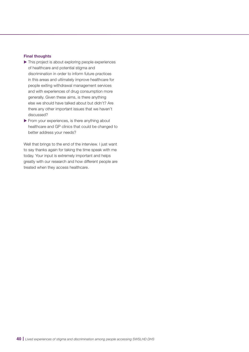#### Final thoughts

- $\blacktriangleright$  This project is about exploring people experiences of healthcare and potential stigma and discrimination in order to inform future practices in this areas and ultimately improve healthcare for people exiting withdrawal management services and with experiences of drug consumption more generally. Given these aims, is there anything else we should have talked about but didn't? Are there any other important issues that we haven't discussed?
- $\blacktriangleright$  From your experiences, is there anything about healthcare and GP clinics that could be changed to better address your needs?

Well that brings to the end of the interview. I just want to say thanks again for taking the time speak with me today. Your input is extremely important and helps greatly with our research and how different people are treated when they access healthcare.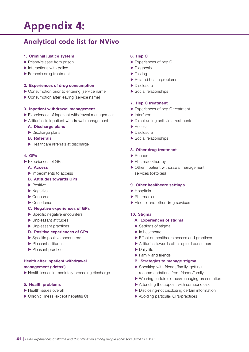# <span id="page-40-0"></span>**Appendix 4:**

## **Analytical code list for NVivo**

### 1. Criminal justice system

- $\blacktriangleright$  Prison/release from prison
- $\blacktriangleright$  Interactions with police
- $\blacktriangleright$  Forensic drug treatment

### 2. Experiences of drug consumption

- $\triangleright$  Consumption prior to entering [service name]
- $\triangleright$  Consumption after leaving [service name]

### 3. Inpatient withdrawal management

- $\blacktriangleright$  Experiences of Inpatient withdrawal management
- $\blacktriangleright$  Attitudes to Inpatient withdrawal management

#### A. Discharge plans

- $\blacktriangleright$  Discharge plans
- B. Referrals
- $\blacktriangleright$  Healthcare referrals at discharge

#### 4. GPs

- Experiences of GPs
	- A. Access
	- $\blacktriangleright$  Impediments to access
	- B. Attitudes towards GPs
	- $\blacktriangleright$  Positive
	- $\blacktriangleright$  Negative
	- $\blacktriangleright$  Concerns
	- $\blacktriangleright$  Confidence

## C. Negative experiences of GPs

- $\blacktriangleright$  Specific negative encounters
- $\blacktriangleright$  Unpleasant attitudes
- $\blacktriangleright$  Unpleasant practices
- D. Positive experiences of GPs
- $\blacktriangleright$  Specific positive encounters
- $\blacktriangleright$  Pleasant attitudes
- $\blacktriangleright$  Pleasant practices

### Health after inpatient withdrawal management ('detox')

 $\blacktriangleright$  Health issues immediately preceding discharge

#### 5. Health problems

- $\blacktriangleright$  Health issues overall
- $\triangleright$  Chronic illness (except hepatitis C)

#### 6. Hep C

- $\blacktriangleright$  Experiences of hep C
- $\blacktriangleright$  Diagnosis
- $\blacktriangleright$  Testing
- $\blacktriangleright$  Related health problems
- $\blacktriangleright$  Disclosure
- $\blacktriangleright$  Social relationships

#### 7. Hep C treatment

- $\blacktriangleright$  Experiences of hep C treatment
- $\blacktriangleright$  Interferon
- $\blacktriangleright$  Direct acting anti-viral treatments
- $\blacktriangleright$  Access
- $\blacktriangleright$  Disclosure
- $\blacktriangleright$  Social relationships

#### 8. Other drug treatment

- $\blacktriangleright$  Rehabs
- $\blacktriangleright$  Pharmacotherapy
- $\triangleright$  Other inpatient withdrawal management services (detoxes)

#### 9. Other healthcare settings

- $\blacktriangleright$  Hospitals
- $\blacktriangleright$  Pharmacies
- $\blacktriangleright$  Alcohol and other drug services

#### 10. Stigma

#### A. Experiences of stigma

- $\blacktriangleright$  Settings of stigma
- $\blacktriangleright$  In healthcare
- $\blacktriangleright$  Effect on healthcare access and practices
- $\blacktriangleright$  Attitudes towards other opioid consumers
- $\blacktriangleright$  Daily life
- $\blacktriangleright$  Family and friends

#### B. Strategies to manage stigma

- $\blacktriangleright$  Speaking with friends/family, getting recommendations from friends/family
- $\blacktriangleright$  Wearing certain clothes/managing presentation
- $\blacktriangleright$  Attending the appoint with someone else
- $\blacktriangleright$  Disclosing/not disclosing certain information
- $\blacktriangleright$  Avoiding particular GPs/practices